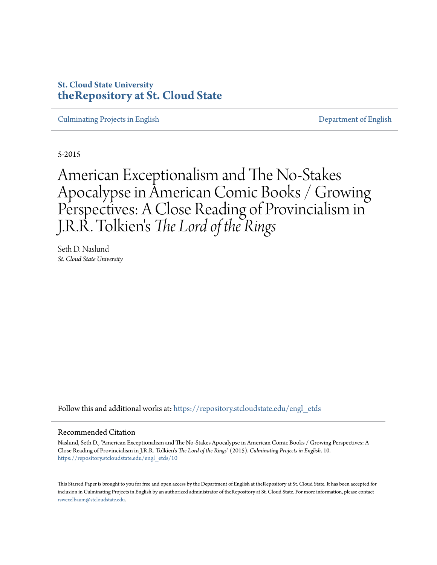### **St. Cloud State University [theRepository at St. Cloud State](https://repository.stcloudstate.edu?utm_source=repository.stcloudstate.edu%2Fengl_etds%2F10&utm_medium=PDF&utm_campaign=PDFCoverPages)**

[Culminating Projects in English](https://repository.stcloudstate.edu/engl_etds?utm_source=repository.stcloudstate.edu%2Fengl_etds%2F10&utm_medium=PDF&utm_campaign=PDFCoverPages) [Department of English](https://repository.stcloudstate.edu/engl?utm_source=repository.stcloudstate.edu%2Fengl_etds%2F10&utm_medium=PDF&utm_campaign=PDFCoverPages)

5-2015

American Exceptionalism and The No-Stakes Apocalypse in American Comic Books / Growing Perspectives: A Close Reading of Provincialism in J.R.R. Tolkien 's *The Lord of the Rings*

Seth D. Naslund *St. Cloud State University*

Follow this and additional works at: [https://repository.stcloudstate.edu/engl\\_etds](https://repository.stcloudstate.edu/engl_etds?utm_source=repository.stcloudstate.edu%2Fengl_etds%2F10&utm_medium=PDF&utm_campaign=PDFCoverPages)

#### Recommended Citation

Naslund, Seth D., "American Exceptionalism and The No-Stakes Apocalypse in American Comic Books / Growing Perspectives: A Close Reading of Provincialism in J.R.R. Tolkien's *The Lord of the Rings*" (2015). *Culminating Projects in English*. 10. [https://repository.stcloudstate.edu/engl\\_etds/10](https://repository.stcloudstate.edu/engl_etds/10?utm_source=repository.stcloudstate.edu%2Fengl_etds%2F10&utm_medium=PDF&utm_campaign=PDFCoverPages)

This Starred Paper is brought to you for free and open access by the Department of English at theRepository at St. Cloud State. It has been accepted for inclusion in Culminating Projects in English by an authorized administrator of theRepository at St. Cloud State. For more information, please contact [rswexelbaum@stcloudstate.edu](mailto:rswexelbaum@stcloudstate.edu).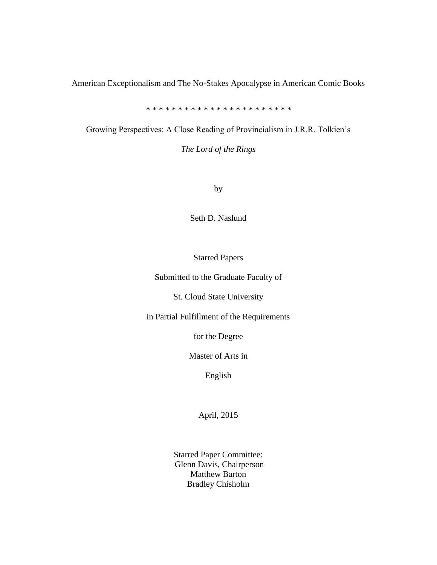American Exceptionalism and The No-Stakes Apocalypse in American Comic Books

*\* \* \* \* \* \* \* \* \* \* \* \* \* \* \* \* \* \* \* \* \* \* \**

Growing Perspectives: A Close Reading of Provincialism in J.R.R. Tolkien's

*The Lord of the Rings*

by

Seth D. Naslund

Starred Papers

Submitted to the Graduate Faculty of

St. Cloud State University

in Partial Fulfillment of the Requirements

for the Degree

Master of Arts in

English

April, 2015

Starred Paper Committee: Glenn Davis, Chairperson Matthew Barton Bradley Chisholm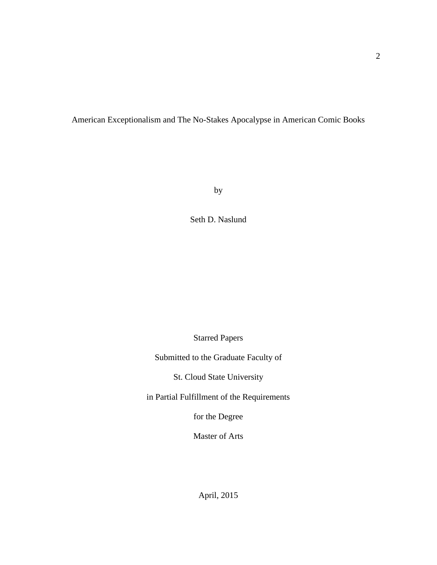### American Exceptionalism and The No-Stakes Apocalypse in American Comic Books

by

Seth D. Naslund

Starred Papers

Submitted to the Graduate Faculty of

St. Cloud State University

in Partial Fulfillment of the Requirements

for the Degree

Master of Arts

April, 2015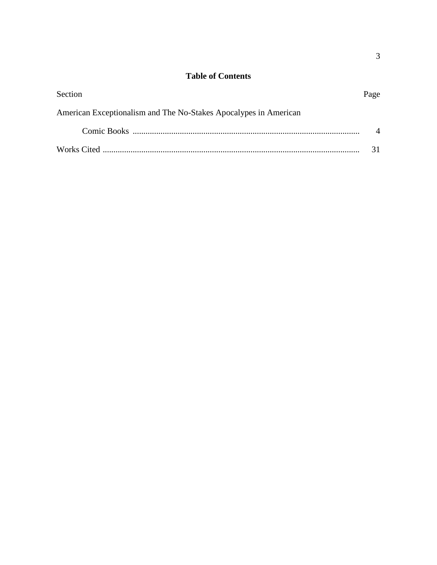# **Table of Contents**

| Section                                                          | Page |
|------------------------------------------------------------------|------|
| American Exceptionalism and The No-Stakes Apocalypes in American |      |
|                                                                  |      |
|                                                                  |      |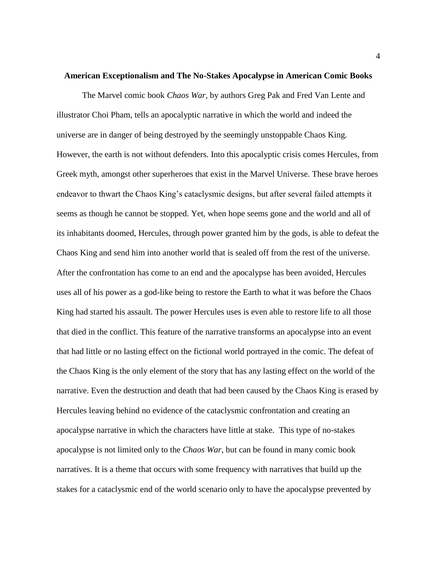#### **American Exceptionalism and The No-Stakes Apocalypse in American Comic Books**

The Marvel comic book *Chaos War,* by authors Greg Pak and Fred Van Lente and illustrator Choi Pham, tells an apocalyptic narrative in which the world and indeed the universe are in danger of being destroyed by the seemingly unstoppable Chaos King. However, the earth is not without defenders. Into this apocalyptic crisis comes Hercules, from Greek myth, amongst other superheroes that exist in the Marvel Universe. These brave heroes endeavor to thwart the Chaos King's cataclysmic designs, but after several failed attempts it seems as though he cannot be stopped. Yet, when hope seems gone and the world and all of its inhabitants doomed, Hercules, through power granted him by the gods, is able to defeat the Chaos King and send him into another world that is sealed off from the rest of the universe. After the confrontation has come to an end and the apocalypse has been avoided, Hercules uses all of his power as a god-like being to restore the Earth to what it was before the Chaos King had started his assault. The power Hercules uses is even able to restore life to all those that died in the conflict. This feature of the narrative transforms an apocalypse into an event that had little or no lasting effect on the fictional world portrayed in the comic. The defeat of the Chaos King is the only element of the story that has any lasting effect on the world of the narrative. Even the destruction and death that had been caused by the Chaos King is erased by Hercules leaving behind no evidence of the cataclysmic confrontation and creating an apocalypse narrative in which the characters have little at stake. This type of no-stakes apocalypse is not limited only to the *Chaos War*, but can be found in many comic book narratives. It is a theme that occurs with some frequency with narratives that build up the stakes for a cataclysmic end of the world scenario only to have the apocalypse prevented by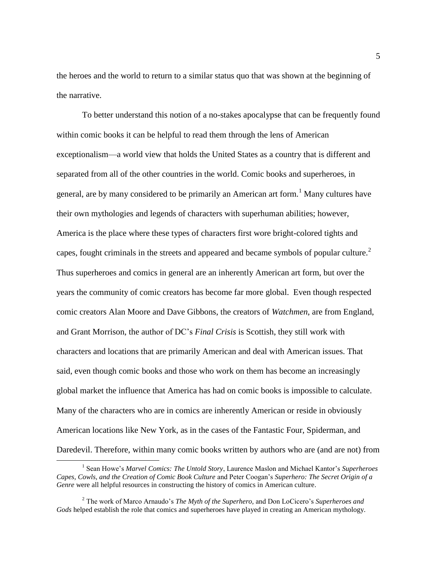the heroes and the world to return to a similar status quo that was shown at the beginning of the narrative.

To better understand this notion of a no-stakes apocalypse that can be frequently found within comic books it can be helpful to read them through the lens of American exceptionalism—a world view that holds the United States as a country that is different and separated from all of the other countries in the world. Comic books and superheroes, in general, are by many considered to be primarily an American art form.<sup>1</sup> Many cultures have their own mythologies and legends of characters with superhuman abilities; however, America is the place where these types of characters first wore bright-colored tights and capes, fought criminals in the streets and appeared and became symbols of popular culture. $2$ Thus superheroes and comics in general are an inherently American art form, but over the years the community of comic creators has become far more global. Even though respected comic creators Alan Moore and Dave Gibbons, the creators of *Watchmen*, are from England, and Grant Morrison, the author of DC's *Final Crisis* is Scottish, they still work with characters and locations that are primarily American and deal with American issues. That said, even though comic books and those who work on them has become an increasingly global market the influence that America has had on comic books is impossible to calculate. Many of the characters who are in comics are inherently American or reside in obviously American locations like New York, as in the cases of the Fantastic Four, Spiderman, and Daredevil. Therefore, within many comic books written by authors who are (and are not) from

l

<sup>1</sup> Sean Howe's *Marvel Comics: The Untold Story*, Laurence Maslon and Michael Kantor's *Superheroes Capes, Cowls, and the Creation of Comic Book Culture* and Peter Coogan's *Superhero: The Secret Origin of a Genre* were all helpful resources in constructing the history of comics in American culture.

<sup>2</sup> The work of Marco Arnaudo's *The Myth of the Superhero,* and Don LoCicero's *Superheroes and Gods* helped establish the role that comics and superheroes have played in creating an American mythology.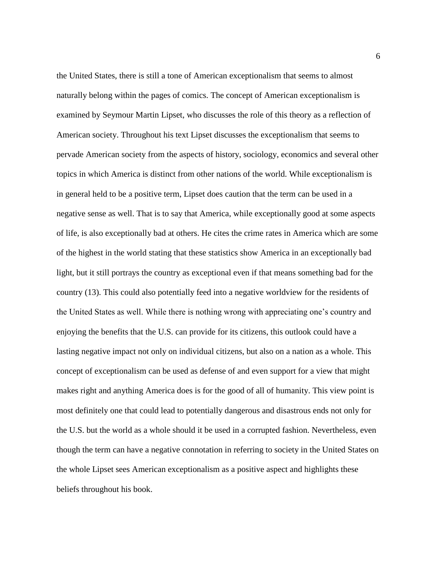the United States, there is still a tone of American exceptionalism that seems to almost naturally belong within the pages of comics. The concept of American exceptionalism is examined by Seymour Martin Lipset, who discusses the role of this theory as a reflection of American society. Throughout his text Lipset discusses the exceptionalism that seems to pervade American society from the aspects of history, sociology, economics and several other topics in which America is distinct from other nations of the world. While exceptionalism is in general held to be a positive term, Lipset does caution that the term can be used in a negative sense as well. That is to say that America, while exceptionally good at some aspects of life, is also exceptionally bad at others. He cites the crime rates in America which are some of the highest in the world stating that these statistics show America in an exceptionally bad light, but it still portrays the country as exceptional even if that means something bad for the country (13). This could also potentially feed into a negative worldview for the residents of the United States as well. While there is nothing wrong with appreciating one's country and enjoying the benefits that the U.S. can provide for its citizens, this outlook could have a lasting negative impact not only on individual citizens, but also on a nation as a whole. This concept of exceptionalism can be used as defense of and even support for a view that might makes right and anything America does is for the good of all of humanity. This view point is most definitely one that could lead to potentially dangerous and disastrous ends not only for the U.S. but the world as a whole should it be used in a corrupted fashion. Nevertheless, even though the term can have a negative connotation in referring to society in the United States on the whole Lipset sees American exceptionalism as a positive aspect and highlights these beliefs throughout his book.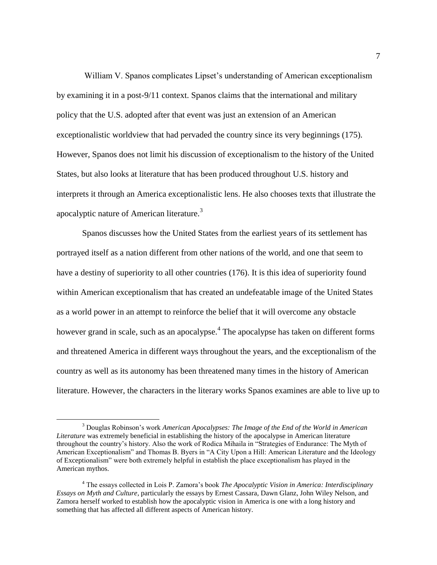William V. Spanos complicates Lipset's understanding of American exceptionalism by examining it in a post-9/11 context. Spanos claims that the international and military policy that the U.S. adopted after that event was just an extension of an American exceptionalistic worldview that had pervaded the country since its very beginnings (175). However, Spanos does not limit his discussion of exceptionalism to the history of the United States, but also looks at literature that has been produced throughout U.S. history and interprets it through an America exceptionalistic lens. He also chooses texts that illustrate the apocalyptic nature of American literature.<sup>3</sup>

Spanos discusses how the United States from the earliest years of its settlement has portrayed itself as a nation different from other nations of the world, and one that seem to have a destiny of superiority to all other countries (176). It is this idea of superiority found within American exceptionalism that has created an undefeatable image of the United States as a world power in an attempt to reinforce the belief that it will overcome any obstacle however grand in scale, such as an apocalypse.<sup>4</sup> The apocalypse has taken on different forms and threatened America in different ways throughout the years, and the exceptionalism of the country as well as its autonomy has been threatened many times in the history of American literature. However, the characters in the literary works Spanos examines are able to live up to

 $\overline{\phantom{a}}$ 

<sup>3</sup> Douglas Robinson's work *American Apocalypses: The Image of the End of the World in American Literature* was extremely beneficial in establishing the history of the apocalypse in American literature throughout the country's history. Also the work of Rodica Mihaila in "Strategies of Endurance: The Myth of American Exceptionalism" and Thomas B. Byers in "A City Upon a Hill: American Literature and the Ideology of Exceptionalism" were both extremely helpful in establish the place exceptionalism has played in the American mythos.

<sup>4</sup> The essays collected in Lois P. Zamora's book *The Apocalyptic Vision in America: Interdisciplinary Essays on Myth and Culture*, particularly the essays by Ernest Cassara, Dawn Glanz, John Wiley Nelson, and Zamora herself worked to establish how the apocalyptic vision in America is one with a long history and something that has affected all different aspects of American history.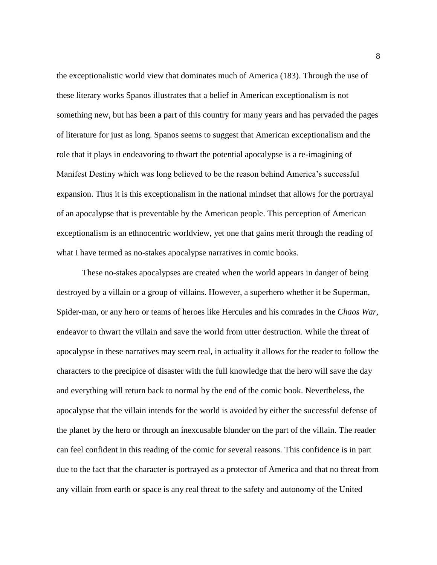the exceptionalistic world view that dominates much of America (183). Through the use of these literary works Spanos illustrates that a belief in American exceptionalism is not something new, but has been a part of this country for many years and has pervaded the pages of literature for just as long. Spanos seems to suggest that American exceptionalism and the role that it plays in endeavoring to thwart the potential apocalypse is a re-imagining of Manifest Destiny which was long believed to be the reason behind America's successful expansion. Thus it is this exceptionalism in the national mindset that allows for the portrayal of an apocalypse that is preventable by the American people. This perception of American exceptionalism is an ethnocentric worldview, yet one that gains merit through the reading of what I have termed as no-stakes apocalypse narratives in comic books.

These no-stakes apocalypses are created when the world appears in danger of being destroyed by a villain or a group of villains. However, a superhero whether it be Superman, Spider-man, or any hero or teams of heroes like Hercules and his comrades in the *Chaos War,* endeavor to thwart the villain and save the world from utter destruction. While the threat of apocalypse in these narratives may seem real, in actuality it allows for the reader to follow the characters to the precipice of disaster with the full knowledge that the hero will save the day and everything will return back to normal by the end of the comic book. Nevertheless, the apocalypse that the villain intends for the world is avoided by either the successful defense of the planet by the hero or through an inexcusable blunder on the part of the villain. The reader can feel confident in this reading of the comic for several reasons. This confidence is in part due to the fact that the character is portrayed as a protector of America and that no threat from any villain from earth or space is any real threat to the safety and autonomy of the United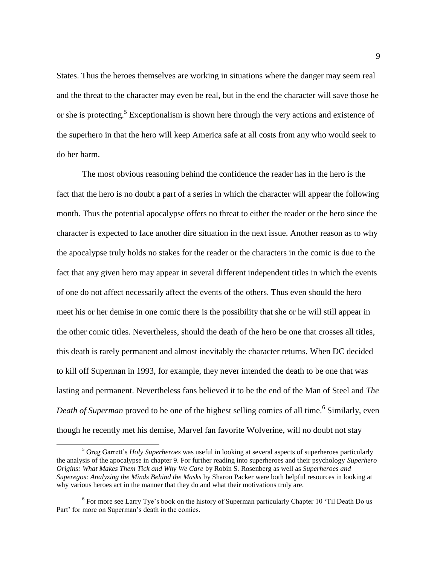States. Thus the heroes themselves are working in situations where the danger may seem real and the threat to the character may even be real, but in the end the character will save those he or she is protecting.<sup>5</sup> Exceptionalism is shown here through the very actions and existence of the superhero in that the hero will keep America safe at all costs from any who would seek to do her harm.

The most obvious reasoning behind the confidence the reader has in the hero is the fact that the hero is no doubt a part of a series in which the character will appear the following month. Thus the potential apocalypse offers no threat to either the reader or the hero since the character is expected to face another dire situation in the next issue. Another reason as to why the apocalypse truly holds no stakes for the reader or the characters in the comic is due to the fact that any given hero may appear in several different independent titles in which the events of one do not affect necessarily affect the events of the others. Thus even should the hero meet his or her demise in one comic there is the possibility that she or he will still appear in the other comic titles. Nevertheless, should the death of the hero be one that crosses all titles, this death is rarely permanent and almost inevitably the character returns. When DC decided to kill off Superman in 1993, for example, they never intended the death to be one that was lasting and permanent. Nevertheless fans believed it to be the end of the Man of Steel and *The*  Death of Superman proved to be one of the highest selling comics of all time.<sup>6</sup> Similarly, even though he recently met his demise, Marvel fan favorite Wolverine, will no doubt not stay

 $\overline{a}$ 

<sup>5</sup> Greg Garrett's *Holy Superheroes* was useful in looking at several aspects of superheroes particularly the analysis of the apocalypse in chapter 9. For further reading into superheroes and their psychology *Superhero Origins: What Makes Them Tick and Why We Care* by Robin S. Rosenberg as well as *Superheroes and Superegos: Analyzing the Minds Behind the Masks* by Sharon Packer were both helpful resources in looking at why various heroes act in the manner that they do and what their motivations truly are.

 $6$  For more see Larry Tye's book on the history of Superman particularly Chapter 10 'Til Death Do us Part' for more on Superman's death in the comics.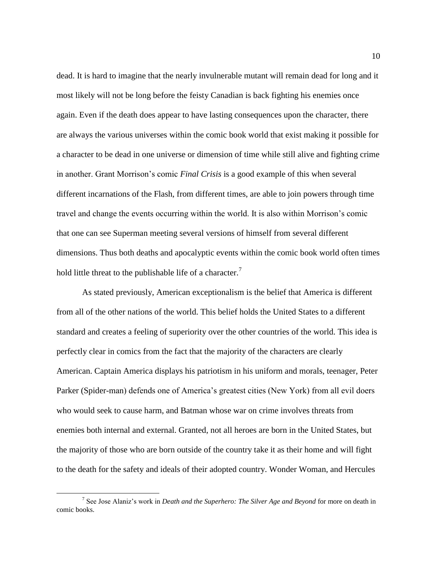dead. It is hard to imagine that the nearly invulnerable mutant will remain dead for long and it most likely will not be long before the feisty Canadian is back fighting his enemies once again. Even if the death does appear to have lasting consequences upon the character, there are always the various universes within the comic book world that exist making it possible for a character to be dead in one universe or dimension of time while still alive and fighting crime in another. Grant Morrison's comic *Final Crisis* is a good example of this when several different incarnations of the Flash, from different times, are able to join powers through time travel and change the events occurring within the world. It is also within Morrison's comic that one can see Superman meeting several versions of himself from several different dimensions. Thus both deaths and apocalyptic events within the comic book world often times hold little threat to the publishable life of a character.<sup>7</sup>

As stated previously, American exceptionalism is the belief that America is different from all of the other nations of the world. This belief holds the United States to a different standard and creates a feeling of superiority over the other countries of the world. This idea is perfectly clear in comics from the fact that the majority of the characters are clearly American. Captain America displays his patriotism in his uniform and morals, teenager, Peter Parker (Spider-man) defends one of America's greatest cities (New York) from all evil doers who would seek to cause harm, and Batman whose war on crime involves threats from enemies both internal and external. Granted, not all heroes are born in the United States, but the majority of those who are born outside of the country take it as their home and will fight to the death for the safety and ideals of their adopted country. Wonder Woman, and Hercules

 $\overline{\phantom{a}}$ 

<sup>7</sup> See Jose Alaniz's work in *Death and the Superhero: The Silver Age and Beyond* for more on death in comic books.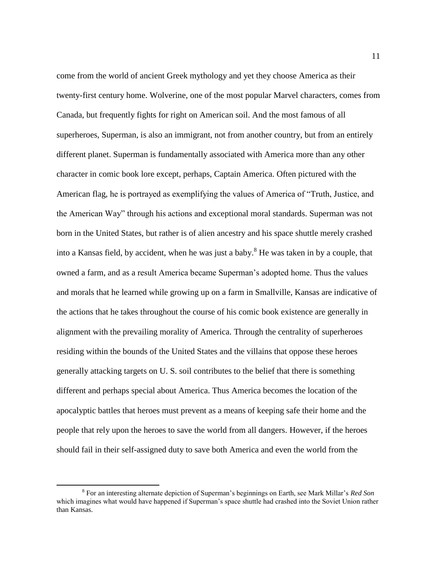come from the world of ancient Greek mythology and yet they choose America as their twenty-first century home. Wolverine, one of the most popular Marvel characters, comes from Canada, but frequently fights for right on American soil. And the most famous of all superheroes, Superman, is also an immigrant, not from another country, but from an entirely different planet. Superman is fundamentally associated with America more than any other character in comic book lore except, perhaps, Captain America. Often pictured with the American flag, he is portrayed as exemplifying the values of America of "Truth, Justice, and the American Way" through his actions and exceptional moral standards. Superman was not born in the United States, but rather is of alien ancestry and his space shuttle merely crashed into a Kansas field, by accident, when he was just a baby.<sup>8</sup> He was taken in by a couple, that owned a farm, and as a result America became Superman's adopted home. Thus the values and morals that he learned while growing up on a farm in Smallville, Kansas are indicative of the actions that he takes throughout the course of his comic book existence are generally in alignment with the prevailing morality of America. Through the centrality of superheroes residing within the bounds of the United States and the villains that oppose these heroes generally attacking targets on U. S. soil contributes to the belief that there is something different and perhaps special about America. Thus America becomes the location of the apocalyptic battles that heroes must prevent as a means of keeping safe their home and the people that rely upon the heroes to save the world from all dangers. However, if the heroes should fail in their self-assigned duty to save both America and even the world from the

 $\overline{\phantom{a}}$ 

<sup>8</sup> For an interesting alternate depiction of Superman's beginnings on Earth, see Mark Millar's *Red Son* which imagines what would have happened if Superman's space shuttle had crashed into the Soviet Union rather than Kansas.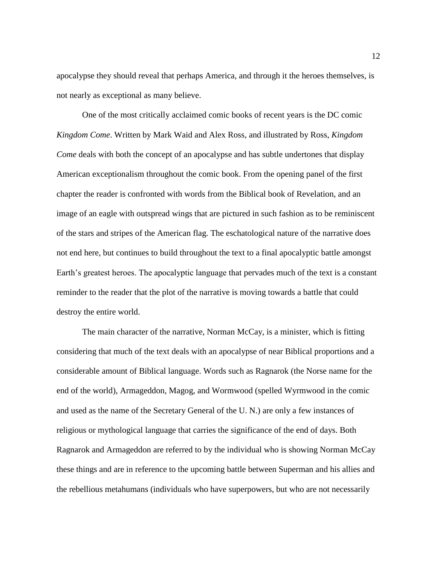apocalypse they should reveal that perhaps America, and through it the heroes themselves, is not nearly as exceptional as many believe.

One of the most critically acclaimed comic books of recent years is the DC comic *Kingdom Come*. Written by Mark Waid and Alex Ross, and illustrated by Ross, *Kingdom Come* deals with both the concept of an apocalypse and has subtle undertones that display American exceptionalism throughout the comic book. From the opening panel of the first chapter the reader is confronted with words from the Biblical book of Revelation, and an image of an eagle with outspread wings that are pictured in such fashion as to be reminiscent of the stars and stripes of the American flag. The eschatological nature of the narrative does not end here, but continues to build throughout the text to a final apocalyptic battle amongst Earth's greatest heroes. The apocalyptic language that pervades much of the text is a constant reminder to the reader that the plot of the narrative is moving towards a battle that could destroy the entire world.

The main character of the narrative, Norman McCay, is a minister, which is fitting considering that much of the text deals with an apocalypse of near Biblical proportions and a considerable amount of Biblical language. Words such as Ragnarok (the Norse name for the end of the world), Armageddon, Magog, and Wormwood (spelled Wyrmwood in the comic and used as the name of the Secretary General of the U. N.) are only a few instances of religious or mythological language that carries the significance of the end of days. Both Ragnarok and Armageddon are referred to by the individual who is showing Norman McCay these things and are in reference to the upcoming battle between Superman and his allies and the rebellious metahumans (individuals who have superpowers, but who are not necessarily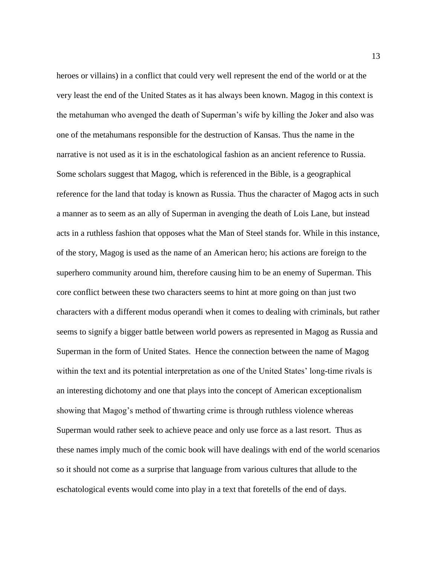heroes or villains) in a conflict that could very well represent the end of the world or at the very least the end of the United States as it has always been known. Magog in this context is the metahuman who avenged the death of Superman's wife by killing the Joker and also was one of the metahumans responsible for the destruction of Kansas. Thus the name in the narrative is not used as it is in the eschatological fashion as an ancient reference to Russia. Some scholars suggest that Magog, which is referenced in the Bible, is a geographical reference for the land that today is known as Russia. Thus the character of Magog acts in such a manner as to seem as an ally of Superman in avenging the death of Lois Lane, but instead acts in a ruthless fashion that opposes what the Man of Steel stands for. While in this instance, of the story, Magog is used as the name of an American hero; his actions are foreign to the superhero community around him, therefore causing him to be an enemy of Superman. This core conflict between these two characters seems to hint at more going on than just two characters with a different modus operandi when it comes to dealing with criminals, but rather seems to signify a bigger battle between world powers as represented in Magog as Russia and Superman in the form of United States. Hence the connection between the name of Magog within the text and its potential interpretation as one of the United States' long-time rivals is an interesting dichotomy and one that plays into the concept of American exceptionalism showing that Magog's method of thwarting crime is through ruthless violence whereas Superman would rather seek to achieve peace and only use force as a last resort. Thus as these names imply much of the comic book will have dealings with end of the world scenarios so it should not come as a surprise that language from various cultures that allude to the eschatological events would come into play in a text that foretells of the end of days.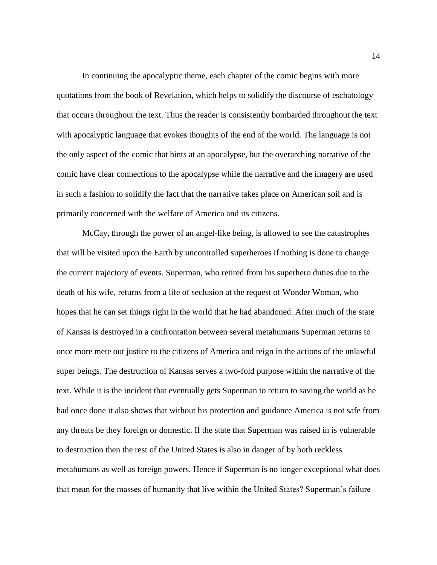In continuing the apocalyptic theme, each chapter of the comic begins with more quotations from the book of Revelation, which helps to solidify the discourse of eschatology that occurs throughout the text. Thus the reader is consistently bombarded throughout the text with apocalyptic language that evokes thoughts of the end of the world. The language is not the only aspect of the comic that hints at an apocalypse, but the overarching narrative of the comic have clear connections to the apocalypse while the narrative and the imagery are used in such a fashion to solidify the fact that the narrative takes place on American soil and is primarily concerned with the welfare of America and its citizens.

McCay, through the power of an angel-like being, is allowed to see the catastrophes that will be visited upon the Earth by uncontrolled superheroes if nothing is done to change the current trajectory of events. Superman, who retired from his superhero duties due to the death of his wife, returns from a life of seclusion at the request of Wonder Woman, who hopes that he can set things right in the world that he had abandoned. After much of the state of Kansas is destroyed in a confrontation between several metahumans Superman returns to once more mete out justice to the citizens of America and reign in the actions of the unlawful super beings. The destruction of Kansas serves a two-fold purpose within the narrative of the text. While it is the incident that eventually gets Superman to return to saving the world as he had once done it also shows that without his protection and guidance America is not safe from any threats be they foreign or domestic. If the state that Superman was raised in is vulnerable to destruction then the rest of the United States is also in danger of by both reckless metahumans as well as foreign powers. Hence if Superman is no longer exceptional what does that mean for the masses of humanity that live within the United States? Superman's failure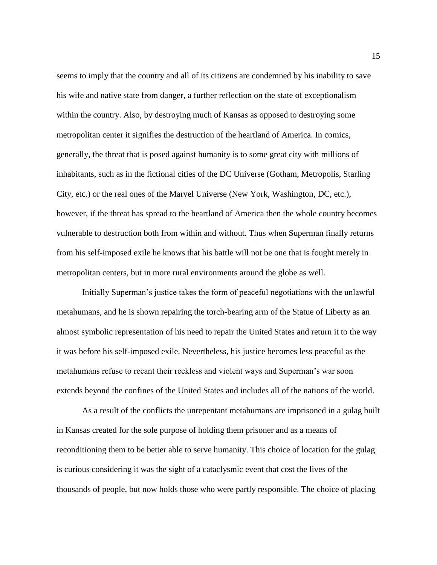seems to imply that the country and all of its citizens are condemned by his inability to save his wife and native state from danger, a further reflection on the state of exceptionalism within the country. Also, by destroying much of Kansas as opposed to destroying some metropolitan center it signifies the destruction of the heartland of America. In comics, generally, the threat that is posed against humanity is to some great city with millions of inhabitants, such as in the fictional cities of the DC Universe (Gotham, Metropolis, Starling City, etc.) or the real ones of the Marvel Universe (New York, Washington, DC, etc.), however, if the threat has spread to the heartland of America then the whole country becomes vulnerable to destruction both from within and without. Thus when Superman finally returns from his self-imposed exile he knows that his battle will not be one that is fought merely in metropolitan centers, but in more rural environments around the globe as well.

Initially Superman's justice takes the form of peaceful negotiations with the unlawful metahumans, and he is shown repairing the torch-bearing arm of the Statue of Liberty as an almost symbolic representation of his need to repair the United States and return it to the way it was before his self-imposed exile. Nevertheless, his justice becomes less peaceful as the metahumans refuse to recant their reckless and violent ways and Superman's war soon extends beyond the confines of the United States and includes all of the nations of the world.

As a result of the conflicts the unrepentant metahumans are imprisoned in a gulag built in Kansas created for the sole purpose of holding them prisoner and as a means of reconditioning them to be better able to serve humanity. This choice of location for the gulag is curious considering it was the sight of a cataclysmic event that cost the lives of the thousands of people, but now holds those who were partly responsible. The choice of placing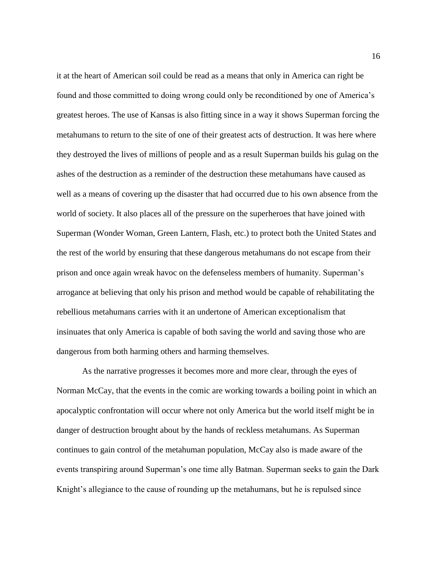it at the heart of American soil could be read as a means that only in America can right be found and those committed to doing wrong could only be reconditioned by one of America's greatest heroes. The use of Kansas is also fitting since in a way it shows Superman forcing the metahumans to return to the site of one of their greatest acts of destruction. It was here where they destroyed the lives of millions of people and as a result Superman builds his gulag on the ashes of the destruction as a reminder of the destruction these metahumans have caused as well as a means of covering up the disaster that had occurred due to his own absence from the world of society. It also places all of the pressure on the superheroes that have joined with Superman (Wonder Woman, Green Lantern, Flash, etc.) to protect both the United States and the rest of the world by ensuring that these dangerous metahumans do not escape from their prison and once again wreak havoc on the defenseless members of humanity. Superman's arrogance at believing that only his prison and method would be capable of rehabilitating the rebellious metahumans carries with it an undertone of American exceptionalism that insinuates that only America is capable of both saving the world and saving those who are dangerous from both harming others and harming themselves.

As the narrative progresses it becomes more and more clear, through the eyes of Norman McCay, that the events in the comic are working towards a boiling point in which an apocalyptic confrontation will occur where not only America but the world itself might be in danger of destruction brought about by the hands of reckless metahumans. As Superman continues to gain control of the metahuman population, McCay also is made aware of the events transpiring around Superman's one time ally Batman. Superman seeks to gain the Dark Knight's allegiance to the cause of rounding up the metahumans, but he is repulsed since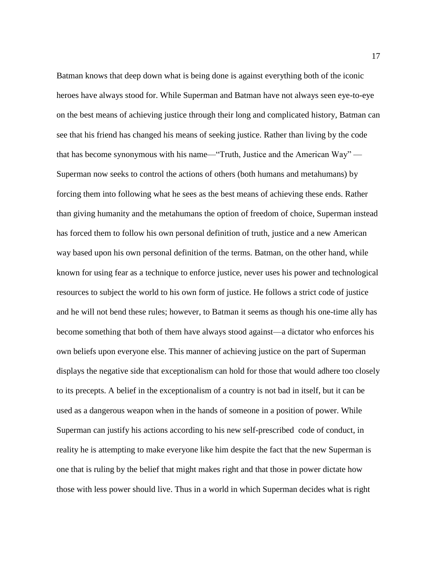Batman knows that deep down what is being done is against everything both of the iconic heroes have always stood for. While Superman and Batman have not always seen eye-to-eye on the best means of achieving justice through their long and complicated history, Batman can see that his friend has changed his means of seeking justice. Rather than living by the code that has become synonymous with his name—"Truth, Justice and the American Way" — Superman now seeks to control the actions of others (both humans and metahumans) by forcing them into following what he sees as the best means of achieving these ends. Rather than giving humanity and the metahumans the option of freedom of choice, Superman instead has forced them to follow his own personal definition of truth, justice and a new American way based upon his own personal definition of the terms. Batman, on the other hand, while known for using fear as a technique to enforce justice, never uses his power and technological resources to subject the world to his own form of justice. He follows a strict code of justice and he will not bend these rules; however, to Batman it seems as though his one-time ally has become something that both of them have always stood against—a dictator who enforces his own beliefs upon everyone else. This manner of achieving justice on the part of Superman displays the negative side that exceptionalism can hold for those that would adhere too closely to its precepts. A belief in the exceptionalism of a country is not bad in itself, but it can be used as a dangerous weapon when in the hands of someone in a position of power. While Superman can justify his actions according to his new self-prescribed code of conduct, in reality he is attempting to make everyone like him despite the fact that the new Superman is one that is ruling by the belief that might makes right and that those in power dictate how those with less power should live. Thus in a world in which Superman decides what is right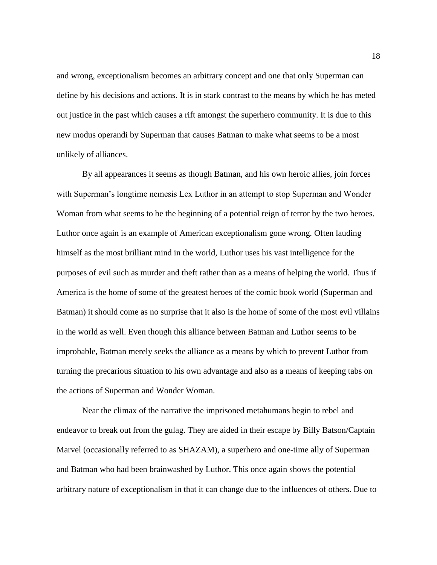and wrong, exceptionalism becomes an arbitrary concept and one that only Superman can define by his decisions and actions. It is in stark contrast to the means by which he has meted out justice in the past which causes a rift amongst the superhero community. It is due to this new modus operandi by Superman that causes Batman to make what seems to be a most unlikely of alliances.

By all appearances it seems as though Batman, and his own heroic allies, join forces with Superman's longtime nemesis Lex Luthor in an attempt to stop Superman and Wonder Woman from what seems to be the beginning of a potential reign of terror by the two heroes. Luthor once again is an example of American exceptionalism gone wrong. Often lauding himself as the most brilliant mind in the world, Luthor uses his vast intelligence for the purposes of evil such as murder and theft rather than as a means of helping the world. Thus if America is the home of some of the greatest heroes of the comic book world (Superman and Batman) it should come as no surprise that it also is the home of some of the most evil villains in the world as well. Even though this alliance between Batman and Luthor seems to be improbable, Batman merely seeks the alliance as a means by which to prevent Luthor from turning the precarious situation to his own advantage and also as a means of keeping tabs on the actions of Superman and Wonder Woman.

Near the climax of the narrative the imprisoned metahumans begin to rebel and endeavor to break out from the gulag. They are aided in their escape by Billy Batson/Captain Marvel (occasionally referred to as SHAZAM), a superhero and one-time ally of Superman and Batman who had been brainwashed by Luthor. This once again shows the potential arbitrary nature of exceptionalism in that it can change due to the influences of others. Due to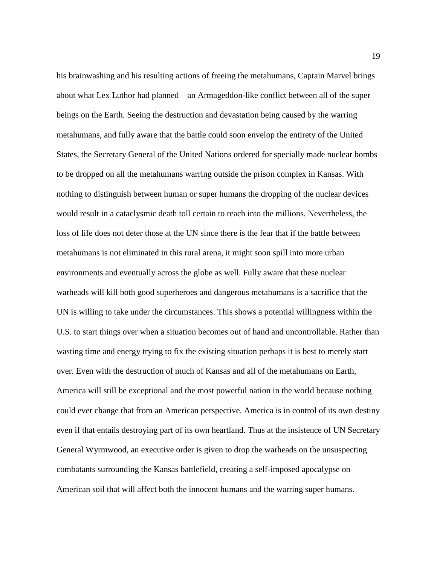his brainwashing and his resulting actions of freeing the metahumans, Captain Marvel brings about what Lex Luthor had planned—an Armageddon-like conflict between all of the super beings on the Earth. Seeing the destruction and devastation being caused by the warring metahumans, and fully aware that the battle could soon envelop the entirety of the United States, the Secretary General of the United Nations ordered for specially made nuclear bombs to be dropped on all the metahumans warring outside the prison complex in Kansas. With nothing to distinguish between human or super humans the dropping of the nuclear devices would result in a cataclysmic death toll certain to reach into the millions. Nevertheless, the loss of life does not deter those at the UN since there is the fear that if the battle between metahumans is not eliminated in this rural arena, it might soon spill into more urban environments and eventually across the globe as well. Fully aware that these nuclear warheads will kill both good superheroes and dangerous metahumans is a sacrifice that the UN is willing to take under the circumstances. This shows a potential willingness within the U.S. to start things over when a situation becomes out of hand and uncontrollable. Rather than wasting time and energy trying to fix the existing situation perhaps it is best to merely start over. Even with the destruction of much of Kansas and all of the metahumans on Earth, America will still be exceptional and the most powerful nation in the world because nothing could ever change that from an American perspective. America is in control of its own destiny even if that entails destroying part of its own heartland. Thus at the insistence of UN Secretary General Wyrmwood, an executive order is given to drop the warheads on the unsuspecting combatants surrounding the Kansas battlefield, creating a self-imposed apocalypse on American soil that will affect both the innocent humans and the warring super humans.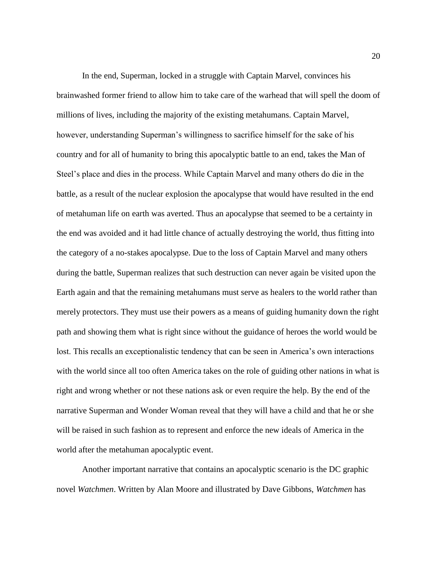In the end, Superman, locked in a struggle with Captain Marvel, convinces his brainwashed former friend to allow him to take care of the warhead that will spell the doom of millions of lives, including the majority of the existing metahumans. Captain Marvel, however, understanding Superman's willingness to sacrifice himself for the sake of his country and for all of humanity to bring this apocalyptic battle to an end, takes the Man of Steel's place and dies in the process. While Captain Marvel and many others do die in the battle, as a result of the nuclear explosion the apocalypse that would have resulted in the end of metahuman life on earth was averted. Thus an apocalypse that seemed to be a certainty in the end was avoided and it had little chance of actually destroying the world, thus fitting into the category of a no-stakes apocalypse. Due to the loss of Captain Marvel and many others during the battle, Superman realizes that such destruction can never again be visited upon the Earth again and that the remaining metahumans must serve as healers to the world rather than merely protectors. They must use their powers as a means of guiding humanity down the right path and showing them what is right since without the guidance of heroes the world would be lost. This recalls an exceptionalistic tendency that can be seen in America's own interactions with the world since all too often America takes on the role of guiding other nations in what is right and wrong whether or not these nations ask or even require the help. By the end of the narrative Superman and Wonder Woman reveal that they will have a child and that he or she will be raised in such fashion as to represent and enforce the new ideals of America in the world after the metahuman apocalyptic event.

Another important narrative that contains an apocalyptic scenario is the DC graphic novel *Watchmen*. Written by Alan Moore and illustrated by Dave Gibbons, *Watchmen* has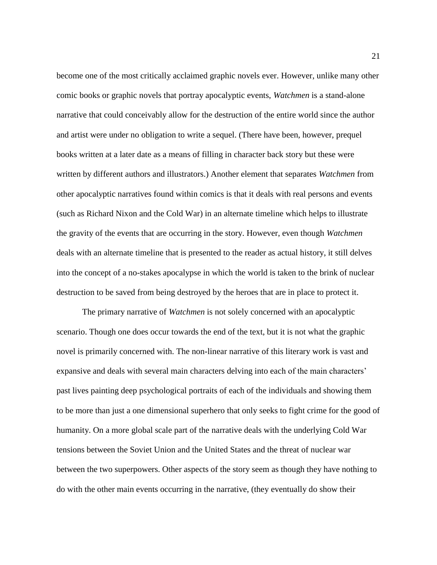become one of the most critically acclaimed graphic novels ever. However, unlike many other comic books or graphic novels that portray apocalyptic events, *Watchmen* is a stand-alone narrative that could conceivably allow for the destruction of the entire world since the author and artist were under no obligation to write a sequel. (There have been, however, prequel books written at a later date as a means of filling in character back story but these were written by different authors and illustrators.) Another element that separates *Watchmen* from other apocalyptic narratives found within comics is that it deals with real persons and events (such as Richard Nixon and the Cold War) in an alternate timeline which helps to illustrate the gravity of the events that are occurring in the story. However, even though *Watchmen* deals with an alternate timeline that is presented to the reader as actual history, it still delves into the concept of a no-stakes apocalypse in which the world is taken to the brink of nuclear destruction to be saved from being destroyed by the heroes that are in place to protect it.

The primary narrative of *Watchmen* is not solely concerned with an apocalyptic scenario. Though one does occur towards the end of the text, but it is not what the graphic novel is primarily concerned with. The non-linear narrative of this literary work is vast and expansive and deals with several main characters delving into each of the main characters' past lives painting deep psychological portraits of each of the individuals and showing them to be more than just a one dimensional superhero that only seeks to fight crime for the good of humanity. On a more global scale part of the narrative deals with the underlying Cold War tensions between the Soviet Union and the United States and the threat of nuclear war between the two superpowers. Other aspects of the story seem as though they have nothing to do with the other main events occurring in the narrative, (they eventually do show their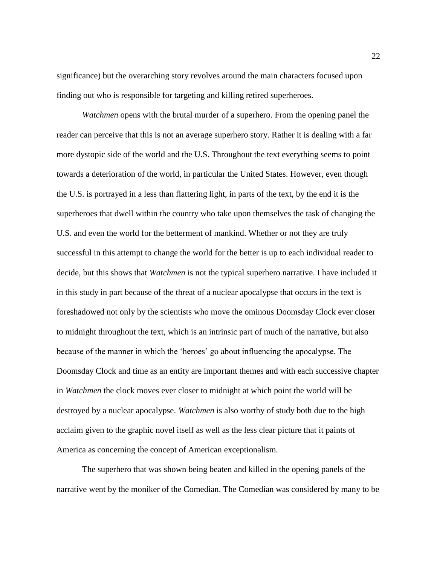significance) but the overarching story revolves around the main characters focused upon finding out who is responsible for targeting and killing retired superheroes.

*Watchmen* opens with the brutal murder of a superhero. From the opening panel the reader can perceive that this is not an average superhero story. Rather it is dealing with a far more dystopic side of the world and the U.S. Throughout the text everything seems to point towards a deterioration of the world, in particular the United States. However, even though the U.S. is portrayed in a less than flattering light, in parts of the text, by the end it is the superheroes that dwell within the country who take upon themselves the task of changing the U.S. and even the world for the betterment of mankind. Whether or not they are truly successful in this attempt to change the world for the better is up to each individual reader to decide, but this shows that *Watchmen* is not the typical superhero narrative. I have included it in this study in part because of the threat of a nuclear apocalypse that occurs in the text is foreshadowed not only by the scientists who move the ominous Doomsday Clock ever closer to midnight throughout the text, which is an intrinsic part of much of the narrative, but also because of the manner in which the 'heroes' go about influencing the apocalypse. The Doomsday Clock and time as an entity are important themes and with each successive chapter in *Watchmen* the clock moves ever closer to midnight at which point the world will be destroyed by a nuclear apocalypse. *Watchmen* is also worthy of study both due to the high acclaim given to the graphic novel itself as well as the less clear picture that it paints of America as concerning the concept of American exceptionalism.

The superhero that was shown being beaten and killed in the opening panels of the narrative went by the moniker of the Comedian. The Comedian was considered by many to be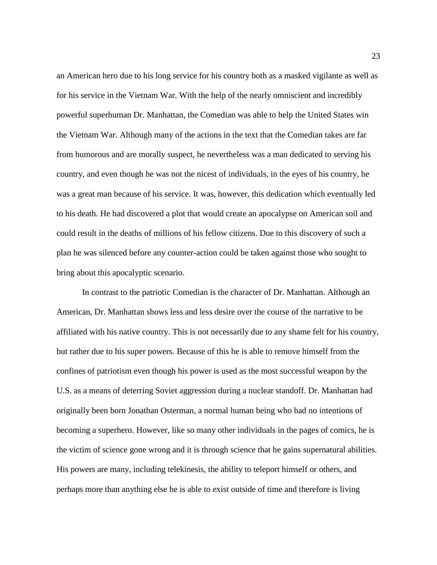an American hero due to his long service for his country both as a masked vigilante as well as for his service in the Vietnam War. With the help of the nearly omniscient and incredibly powerful superhuman Dr. Manhattan, the Comedian was able to help the United States win the Vietnam War. Although many of the actions in the text that the Comedian takes are far from humorous and are morally suspect, he nevertheless was a man dedicated to serving his country, and even though he was not the nicest of individuals, in the eyes of his country, he was a great man because of his service. It was, however, this dedication which eventually led to his death. He had discovered a plot that would create an apocalypse on American soil and could result in the deaths of millions of his fellow citizens. Due to this discovery of such a plan he was silenced before any counter-action could be taken against those who sought to bring about this apocalyptic scenario.

In contrast to the patriotic Comedian is the character of Dr. Manhattan. Although an American, Dr. Manhattan shows less and less desire over the course of the narrative to be affiliated with his native country. This is not necessarily due to any shame felt for his country, but rather due to his super powers. Because of this he is able to remove himself from the confines of patriotism even though his power is used as the most successful weapon by the U.S. as a means of deterring Soviet aggression during a nuclear standoff. Dr. Manhattan had originally been born Jonathan Osterman, a normal human being who had no intentions of becoming a superhero. However, like so many other individuals in the pages of comics, he is the victim of science gone wrong and it is through science that he gains supernatural abilities. His powers are many, including telekinesis, the ability to teleport himself or others, and perhaps more than anything else he is able to exist outside of time and therefore is living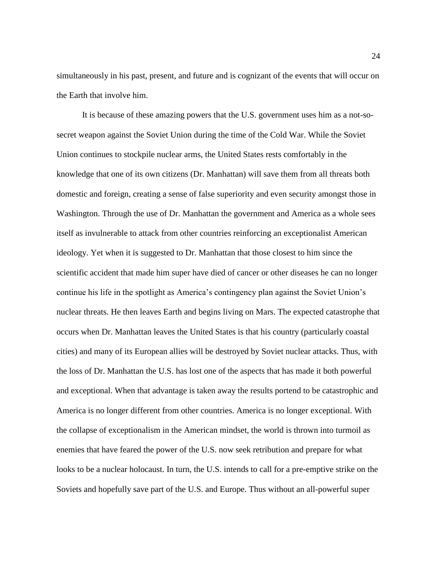simultaneously in his past, present, and future and is cognizant of the events that will occur on the Earth that involve him.

It is because of these amazing powers that the U.S. government uses him as a not-sosecret weapon against the Soviet Union during the time of the Cold War. While the Soviet Union continues to stockpile nuclear arms, the United States rests comfortably in the knowledge that one of its own citizens (Dr. Manhattan) will save them from all threats both domestic and foreign, creating a sense of false superiority and even security amongst those in Washington. Through the use of Dr. Manhattan the government and America as a whole sees itself as invulnerable to attack from other countries reinforcing an exceptionalist American ideology. Yet when it is suggested to Dr. Manhattan that those closest to him since the scientific accident that made him super have died of cancer or other diseases he can no longer continue his life in the spotlight as America's contingency plan against the Soviet Union's nuclear threats. He then leaves Earth and begins living on Mars. The expected catastrophe that occurs when Dr. Manhattan leaves the United States is that his country (particularly coastal cities) and many of its European allies will be destroyed by Soviet nuclear attacks. Thus, with the loss of Dr. Manhattan the U.S. has lost one of the aspects that has made it both powerful and exceptional. When that advantage is taken away the results portend to be catastrophic and America is no longer different from other countries. America is no longer exceptional. With the collapse of exceptionalism in the American mindset, the world is thrown into turmoil as enemies that have feared the power of the U.S. now seek retribution and prepare for what looks to be a nuclear holocaust. In turn, the U.S. intends to call for a pre-emptive strike on the Soviets and hopefully save part of the U.S. and Europe. Thus without an all-powerful super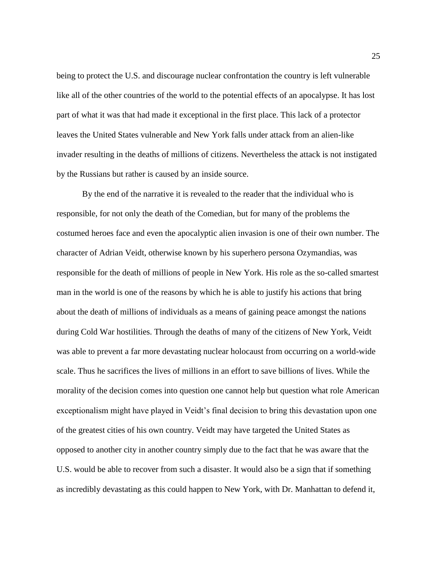being to protect the U.S. and discourage nuclear confrontation the country is left vulnerable like all of the other countries of the world to the potential effects of an apocalypse. It has lost part of what it was that had made it exceptional in the first place. This lack of a protector leaves the United States vulnerable and New York falls under attack from an alien-like invader resulting in the deaths of millions of citizens. Nevertheless the attack is not instigated by the Russians but rather is caused by an inside source.

By the end of the narrative it is revealed to the reader that the individual who is responsible, for not only the death of the Comedian, but for many of the problems the costumed heroes face and even the apocalyptic alien invasion is one of their own number. The character of Adrian Veidt, otherwise known by his superhero persona Ozymandias, was responsible for the death of millions of people in New York. His role as the so-called smartest man in the world is one of the reasons by which he is able to justify his actions that bring about the death of millions of individuals as a means of gaining peace amongst the nations during Cold War hostilities. Through the deaths of many of the citizens of New York, Veidt was able to prevent a far more devastating nuclear holocaust from occurring on a world-wide scale. Thus he sacrifices the lives of millions in an effort to save billions of lives. While the morality of the decision comes into question one cannot help but question what role American exceptionalism might have played in Veidt's final decision to bring this devastation upon one of the greatest cities of his own country. Veidt may have targeted the United States as opposed to another city in another country simply due to the fact that he was aware that the U.S. would be able to recover from such a disaster. It would also be a sign that if something as incredibly devastating as this could happen to New York, with Dr. Manhattan to defend it,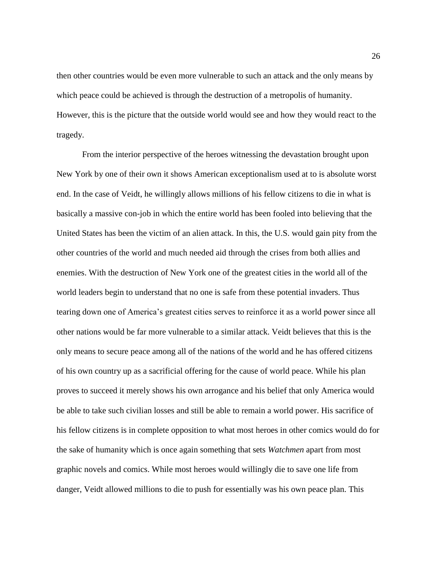then other countries would be even more vulnerable to such an attack and the only means by which peace could be achieved is through the destruction of a metropolis of humanity. However, this is the picture that the outside world would see and how they would react to the tragedy.

From the interior perspective of the heroes witnessing the devastation brought upon New York by one of their own it shows American exceptionalism used at to is absolute worst end. In the case of Veidt, he willingly allows millions of his fellow citizens to die in what is basically a massive con-job in which the entire world has been fooled into believing that the United States has been the victim of an alien attack. In this, the U.S. would gain pity from the other countries of the world and much needed aid through the crises from both allies and enemies. With the destruction of New York one of the greatest cities in the world all of the world leaders begin to understand that no one is safe from these potential invaders. Thus tearing down one of America's greatest cities serves to reinforce it as a world power since all other nations would be far more vulnerable to a similar attack. Veidt believes that this is the only means to secure peace among all of the nations of the world and he has offered citizens of his own country up as a sacrificial offering for the cause of world peace. While his plan proves to succeed it merely shows his own arrogance and his belief that only America would be able to take such civilian losses and still be able to remain a world power. His sacrifice of his fellow citizens is in complete opposition to what most heroes in other comics would do for the sake of humanity which is once again something that sets *Watchmen* apart from most graphic novels and comics. While most heroes would willingly die to save one life from danger, Veidt allowed millions to die to push for essentially was his own peace plan. This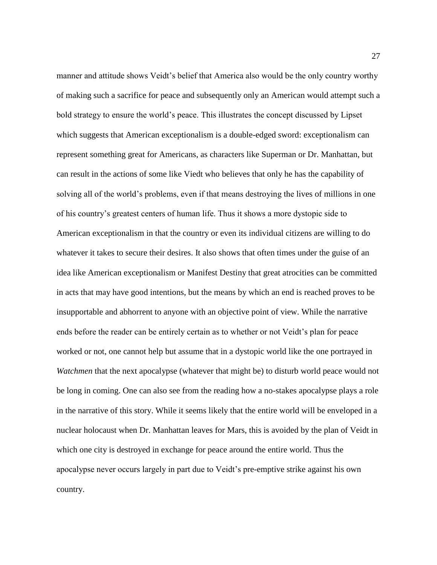manner and attitude shows Veidt's belief that America also would be the only country worthy of making such a sacrifice for peace and subsequently only an American would attempt such a bold strategy to ensure the world's peace. This illustrates the concept discussed by Lipset which suggests that American exceptionalism is a double-edged sword: exceptionalism can represent something great for Americans, as characters like Superman or Dr. Manhattan, but can result in the actions of some like Viedt who believes that only he has the capability of solving all of the world's problems, even if that means destroying the lives of millions in one of his country's greatest centers of human life. Thus it shows a more dystopic side to American exceptionalism in that the country or even its individual citizens are willing to do whatever it takes to secure their desires. It also shows that often times under the guise of an idea like American exceptionalism or Manifest Destiny that great atrocities can be committed in acts that may have good intentions, but the means by which an end is reached proves to be insupportable and abhorrent to anyone with an objective point of view. While the narrative ends before the reader can be entirely certain as to whether or not Veidt's plan for peace worked or not, one cannot help but assume that in a dystopic world like the one portrayed in *Watchmen* that the next apocalypse (whatever that might be) to disturb world peace would not be long in coming. One can also see from the reading how a no-stakes apocalypse plays a role in the narrative of this story. While it seems likely that the entire world will be enveloped in a nuclear holocaust when Dr. Manhattan leaves for Mars, this is avoided by the plan of Veidt in which one city is destroyed in exchange for peace around the entire world. Thus the apocalypse never occurs largely in part due to Veidt's pre-emptive strike against his own country.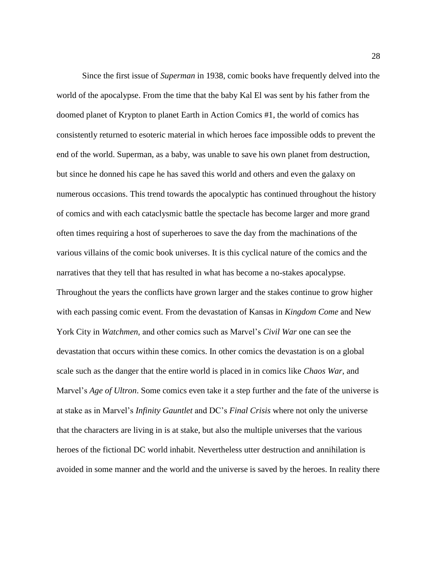Since the first issue of *Superman* in 1938, comic books have frequently delved into the world of the apocalypse. From the time that the baby Kal El was sent by his father from the doomed planet of Krypton to planet Earth in Action Comics #1, the world of comics has consistently returned to esoteric material in which heroes face impossible odds to prevent the end of the world. Superman, as a baby, was unable to save his own planet from destruction, but since he donned his cape he has saved this world and others and even the galaxy on numerous occasions. This trend towards the apocalyptic has continued throughout the history of comics and with each cataclysmic battle the spectacle has become larger and more grand often times requiring a host of superheroes to save the day from the machinations of the various villains of the comic book universes. It is this cyclical nature of the comics and the narratives that they tell that has resulted in what has become a no-stakes apocalypse. Throughout the years the conflicts have grown larger and the stakes continue to grow higher with each passing comic event. From the devastation of Kansas in *Kingdom Come* and New York City in *Watchmen,* and other comics such as Marvel's *Civil War* one can see the devastation that occurs within these comics. In other comics the devastation is on a global scale such as the danger that the entire world is placed in in comics like *Chaos War*, and Marvel's *Age of Ultron*. Some comics even take it a step further and the fate of the universe is at stake as in Marvel's *Infinity Gauntlet* and DC's *Final Crisis* where not only the universe that the characters are living in is at stake, but also the multiple universes that the various heroes of the fictional DC world inhabit. Nevertheless utter destruction and annihilation is avoided in some manner and the world and the universe is saved by the heroes. In reality there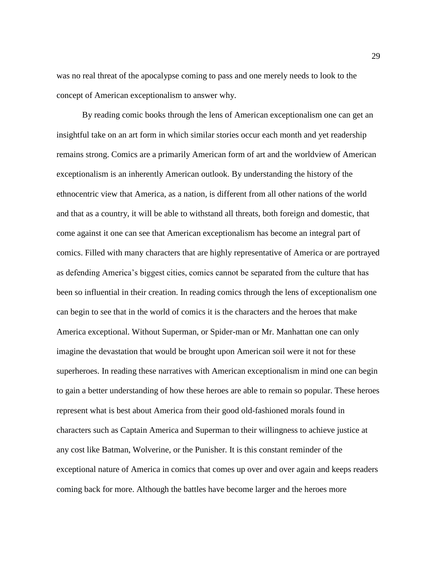was no real threat of the apocalypse coming to pass and one merely needs to look to the concept of American exceptionalism to answer why.

By reading comic books through the lens of American exceptionalism one can get an insightful take on an art form in which similar stories occur each month and yet readership remains strong. Comics are a primarily American form of art and the worldview of American exceptionalism is an inherently American outlook. By understanding the history of the ethnocentric view that America, as a nation, is different from all other nations of the world and that as a country, it will be able to withstand all threats, both foreign and domestic, that come against it one can see that American exceptionalism has become an integral part of comics. Filled with many characters that are highly representative of America or are portrayed as defending America's biggest cities, comics cannot be separated from the culture that has been so influential in their creation. In reading comics through the lens of exceptionalism one can begin to see that in the world of comics it is the characters and the heroes that make America exceptional. Without Superman, or Spider-man or Mr. Manhattan one can only imagine the devastation that would be brought upon American soil were it not for these superheroes. In reading these narratives with American exceptionalism in mind one can begin to gain a better understanding of how these heroes are able to remain so popular. These heroes represent what is best about America from their good old-fashioned morals found in characters such as Captain America and Superman to their willingness to achieve justice at any cost like Batman, Wolverine, or the Punisher. It is this constant reminder of the exceptional nature of America in comics that comes up over and over again and keeps readers coming back for more. Although the battles have become larger and the heroes more

29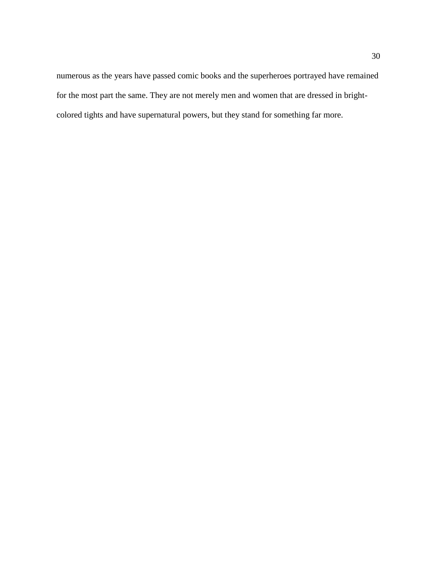numerous as the years have passed comic books and the superheroes portrayed have remained for the most part the same. They are not merely men and women that are dressed in brightcolored tights and have supernatural powers, but they stand for something far more.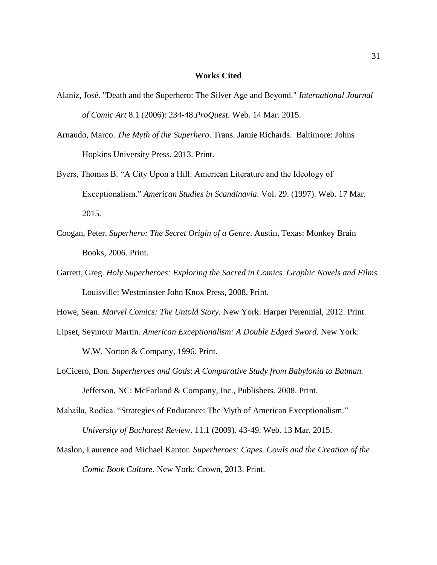### **Works Cited**

- Alaniz, José. "Death and the Superhero: The Silver Age and Beyond." *International Journal of Comic Art* 8.1 (2006): 234-48.*ProQuest.* Web. 14 Mar. 2015.
- Arnaudo, Marco. *The Myth of the Superhero*. Trans. Jamie Richards. Baltimore: Johns Hopkins University Press, 2013. Print.
- Byers, Thomas B. "A City Upon a Hill: American Literature and the Ideology of Exceptionalism." *American Studies in Scandinavia*. Vol. 29. (1997). Web. 17 Mar. 2015.
- Coogan, Peter. *Superhero: The Secret Origin of a Genre*. Austin, Texas: Monkey Brain Books, 2006. Print.
- Garrett, Greg. *Holy Superheroes: Exploring the Sacred in Comics. Graphic Novels and Films.* Louisville: Westminster John Knox Press, 2008. Print.
- Howe, Sean. *Marvel Comics: The Untold Story.* New York: Harper Perennial, 2012. Print.
- Lipset, Seymour Martin. *American Exceptionalism: A Double Edged Sword.* New York: W.W. Norton & Company, 1996. Print.
- LoCicero, Don. *Superheroes and Gods*: *A Comparative Study from Babylonia to Batman.*  Jefferson, NC: McFarland & Company, Inc., Publishers. 2008. Print.
- Mahaila, Rodica. "Strategies of Endurance: The Myth of American Exceptionalism*.*" *University of Bucharest Review*. 11.1 (2009). 43-49. Web. 13 Mar. 2015.
- Maslon, Laurence and Michael Kantor. *Superheroes: Capes. Cowls and the Creation of the Comic Book Culture.* New York: Crown, 2013. Print.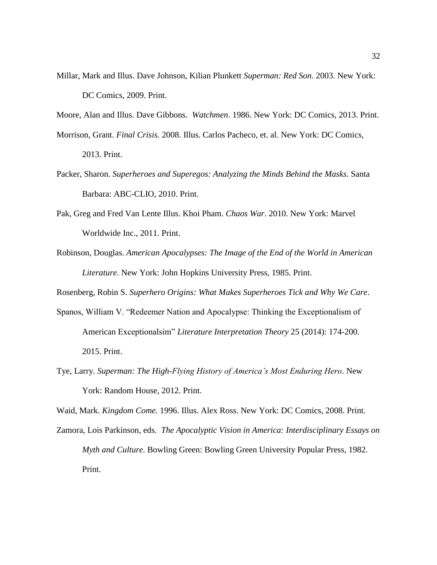Millar, Mark and Illus. Dave Johnson, Kilian Plunkett *Superman: Red Son*. 2003. New York: DC Comics, 2009. Print.

Moore, Alan and Illus. Dave Gibbons. *Watchmen*. 1986. New York: DC Comics, 2013. Print.

Morrison, Grant. *Final Crisis.* 2008. Illus. Carlos Pacheco, et. al. New York: DC Comics, 2013. Print.

- Packer, Sharon. *Superheroes and Superegos: Analyzing the Minds Behind the Masks*. Santa Barbara: ABC-CLIO, 2010. Print.
- Pak, Greg and Fred Van Lente Illus. Khoi Pham. *Chaos War*. 2010. New York: Marvel Worldwide Inc., 2011. Print.
- Robinson, Douglas. *American Apocalypses: The Image of the End of the World in American Literature*. New York: John Hopkins University Press, 1985. Print.

Rosenberg, Robin S. *Superhero Origins: What Makes Superheroes Tick and Why We Care*.

- Spanos, William V. "Redeemer Nation and Apocalypse: Thinking the Exceptionalism of American Exceptionalsim" *Literature Interpretation Theory* 25 (2014): 174-200. 2015. Print.
- Tye, Larry. *Superman: The High-Flying History of America's Most Enduring Hero*. New York: Random House, 2012. Print.

Waid, Mark. *Kingdom Come.* 1996. Illus. Alex Ross. New York: DC Comics, 2008. Print.

Zamora, Lois Parkinson, eds. *The Apocalyptic Vision in America: Interdisciplinary Essays on Myth and Culture.* Bowling Green: Bowling Green University Popular Press, 1982. Print.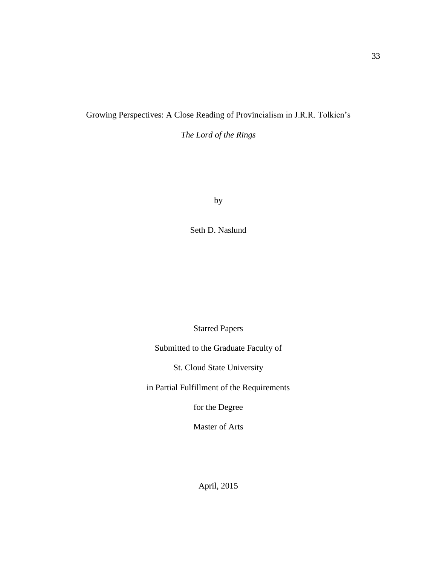### Growing Perspectives: A Close Reading of Provincialism in J.R.R. Tolkien's

*The Lord of the Rings*

by

Seth D. Naslund

Starred Papers

Submitted to the Graduate Faculty of

St. Cloud State University

in Partial Fulfillment of the Requirements

for the Degree

Master of Arts

33

April, 2015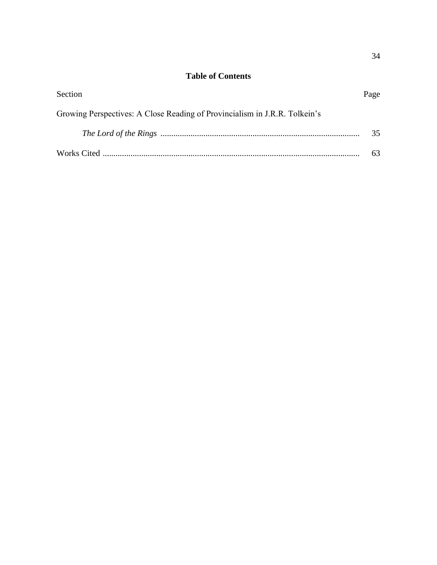# **Table of Contents**

| Section                                                                    | Page |
|----------------------------------------------------------------------------|------|
| Growing Perspectives: A Close Reading of Provincialism in J.R.R. Tolkein's |      |
|                                                                            | 35   |
|                                                                            |      |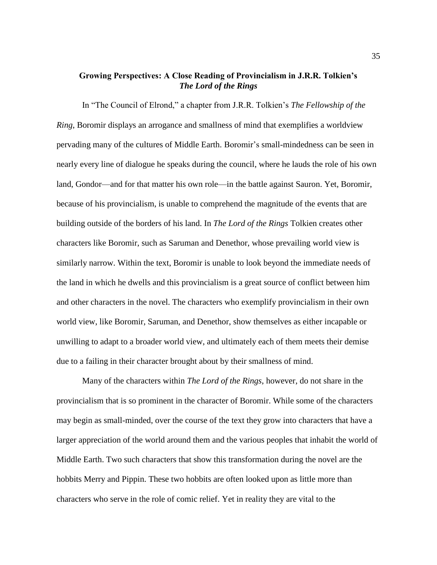### **Growing Perspectives: A Close Reading of Provincialism in J.R.R. Tolkien's**  *The Lord of the Rings*

In "The Council of Elrond," a chapter from J.R.R. Tolkien's *The Fellowship of the Ring*, Boromir displays an arrogance and smallness of mind that exemplifies a worldview pervading many of the cultures of Middle Earth. Boromir's small-mindedness can be seen in nearly every line of dialogue he speaks during the council, where he lauds the role of his own land, Gondor—and for that matter his own role—in the battle against Sauron. Yet, Boromir, because of his provincialism, is unable to comprehend the magnitude of the events that are building outside of the borders of his land. In *The Lord of the Rings* Tolkien creates other characters like Boromir, such as Saruman and Denethor, whose prevailing world view is similarly narrow. Within the text, Boromir is unable to look beyond the immediate needs of the land in which he dwells and this provincialism is a great source of conflict between him and other characters in the novel. The characters who exemplify provincialism in their own world view, like Boromir, Saruman, and Denethor, show themselves as either incapable or unwilling to adapt to a broader world view, and ultimately each of them meets their demise due to a failing in their character brought about by their smallness of mind.

Many of the characters within *The Lord of the Rings*, however, do not share in the provincialism that is so prominent in the character of Boromir. While some of the characters may begin as small-minded, over the course of the text they grow into characters that have a larger appreciation of the world around them and the various peoples that inhabit the world of Middle Earth. Two such characters that show this transformation during the novel are the hobbits Merry and Pippin. These two hobbits are often looked upon as little more than characters who serve in the role of comic relief. Yet in reality they are vital to the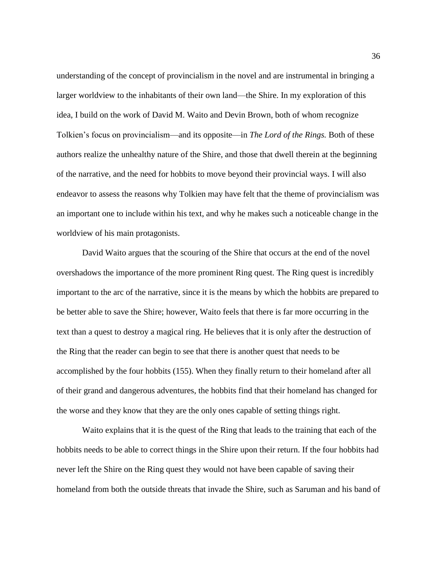understanding of the concept of provincialism in the novel and are instrumental in bringing a larger worldview to the inhabitants of their own land—the Shire. In my exploration of this idea, I build on the work of David M. Waito and Devin Brown, both of whom recognize Tolkien's focus on provincialism—and its opposite—in *The Lord of the Rings.* Both of these authors realize the unhealthy nature of the Shire, and those that dwell therein at the beginning of the narrative, and the need for hobbits to move beyond their provincial ways. I will also endeavor to assess the reasons why Tolkien may have felt that the theme of provincialism was an important one to include within his text, and why he makes such a noticeable change in the worldview of his main protagonists.

David Waito argues that the scouring of the Shire that occurs at the end of the novel overshadows the importance of the more prominent Ring quest. The Ring quest is incredibly important to the arc of the narrative, since it is the means by which the hobbits are prepared to be better able to save the Shire; however, Waito feels that there is far more occurring in the text than a quest to destroy a magical ring. He believes that it is only after the destruction of the Ring that the reader can begin to see that there is another quest that needs to be accomplished by the four hobbits (155). When they finally return to their homeland after all of their grand and dangerous adventures, the hobbits find that their homeland has changed for the worse and they know that they are the only ones capable of setting things right.

Waito explains that it is the quest of the Ring that leads to the training that each of the hobbits needs to be able to correct things in the Shire upon their return. If the four hobbits had never left the Shire on the Ring quest they would not have been capable of saving their homeland from both the outside threats that invade the Shire, such as Saruman and his band of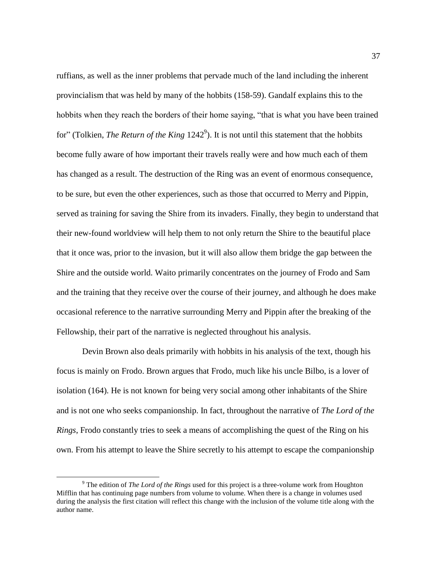ruffians, as well as the inner problems that pervade much of the land including the inherent provincialism that was held by many of the hobbits (158-59). Gandalf explains this to the hobbits when they reach the borders of their home saying, "that is what you have been trained for" (Tolkien, *The Return of the King* 1242<sup>9</sup>). It is not until this statement that the hobbits become fully aware of how important their travels really were and how much each of them has changed as a result. The destruction of the Ring was an event of enormous consequence, to be sure, but even the other experiences, such as those that occurred to Merry and Pippin, served as training for saving the Shire from its invaders. Finally, they begin to understand that their new-found worldview will help them to not only return the Shire to the beautiful place that it once was, prior to the invasion, but it will also allow them bridge the gap between the Shire and the outside world. Waito primarily concentrates on the journey of Frodo and Sam and the training that they receive over the course of their journey, and although he does make occasional reference to the narrative surrounding Merry and Pippin after the breaking of the Fellowship, their part of the narrative is neglected throughout his analysis.

Devin Brown also deals primarily with hobbits in his analysis of the text, though his focus is mainly on Frodo. Brown argues that Frodo, much like his uncle Bilbo, is a lover of isolation (164). He is not known for being very social among other inhabitants of the Shire and is not one who seeks companionship. In fact, throughout the narrative of *The Lord of the Rings*, Frodo constantly tries to seek a means of accomplishing the quest of the Ring on his own. From his attempt to leave the Shire secretly to his attempt to escape the companionship

 $\overline{\phantom{a}}$ 

<sup>9</sup> The edition of *The Lord of the Rings* used for this project is a three-volume work from Houghton Mifflin that has continuing page numbers from volume to volume. When there is a change in volumes used during the analysis the first citation will reflect this change with the inclusion of the volume title along with the author name.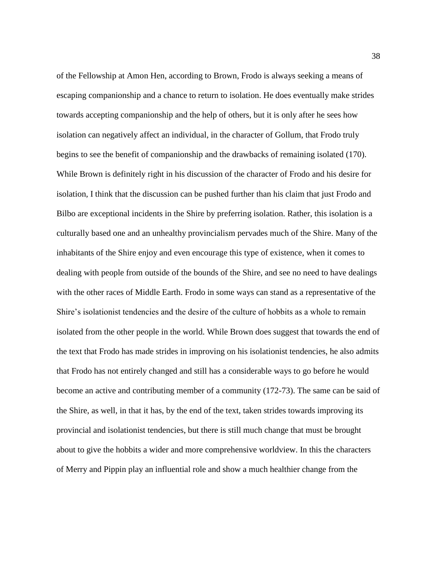of the Fellowship at Amon Hen, according to Brown, Frodo is always seeking a means of escaping companionship and a chance to return to isolation. He does eventually make strides towards accepting companionship and the help of others, but it is only after he sees how isolation can negatively affect an individual, in the character of Gollum, that Frodo truly begins to see the benefit of companionship and the drawbacks of remaining isolated (170). While Brown is definitely right in his discussion of the character of Frodo and his desire for isolation, I think that the discussion can be pushed further than his claim that just Frodo and Bilbo are exceptional incidents in the Shire by preferring isolation. Rather, this isolation is a culturally based one and an unhealthy provincialism pervades much of the Shire. Many of the inhabitants of the Shire enjoy and even encourage this type of existence, when it comes to dealing with people from outside of the bounds of the Shire, and see no need to have dealings with the other races of Middle Earth. Frodo in some ways can stand as a representative of the Shire's isolationist tendencies and the desire of the culture of hobbits as a whole to remain isolated from the other people in the world. While Brown does suggest that towards the end of the text that Frodo has made strides in improving on his isolationist tendencies, he also admits that Frodo has not entirely changed and still has a considerable ways to go before he would become an active and contributing member of a community (172-73). The same can be said of the Shire, as well, in that it has, by the end of the text, taken strides towards improving its provincial and isolationist tendencies, but there is still much change that must be brought about to give the hobbits a wider and more comprehensive worldview. In this the characters of Merry and Pippin play an influential role and show a much healthier change from the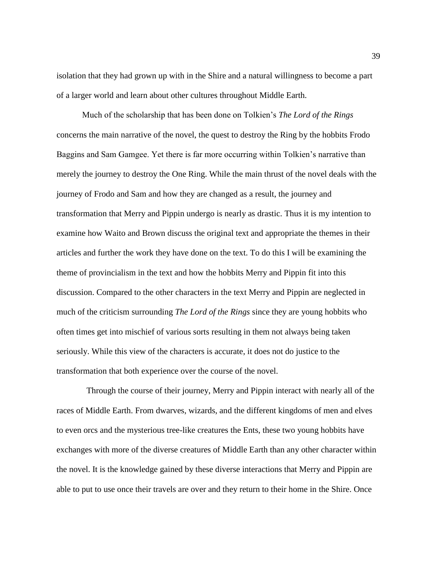isolation that they had grown up with in the Shire and a natural willingness to become a part of a larger world and learn about other cultures throughout Middle Earth.

Much of the scholarship that has been done on Tolkien's *The Lord of the Rings* concerns the main narrative of the novel, the quest to destroy the Ring by the hobbits Frodo Baggins and Sam Gamgee. Yet there is far more occurring within Tolkien's narrative than merely the journey to destroy the One Ring. While the main thrust of the novel deals with the journey of Frodo and Sam and how they are changed as a result, the journey and transformation that Merry and Pippin undergo is nearly as drastic. Thus it is my intention to examine how Waito and Brown discuss the original text and appropriate the themes in their articles and further the work they have done on the text. To do this I will be examining the theme of provincialism in the text and how the hobbits Merry and Pippin fit into this discussion. Compared to the other characters in the text Merry and Pippin are neglected in much of the criticism surrounding *The Lord of the Rings* since they are young hobbits who often times get into mischief of various sorts resulting in them not always being taken seriously. While this view of the characters is accurate, it does not do justice to the transformation that both experience over the course of the novel.

 Through the course of their journey, Merry and Pippin interact with nearly all of the races of Middle Earth. From dwarves, wizards, and the different kingdoms of men and elves to even orcs and the mysterious tree-like creatures the Ents, these two young hobbits have exchanges with more of the diverse creatures of Middle Earth than any other character within the novel. It is the knowledge gained by these diverse interactions that Merry and Pippin are able to put to use once their travels are over and they return to their home in the Shire. Once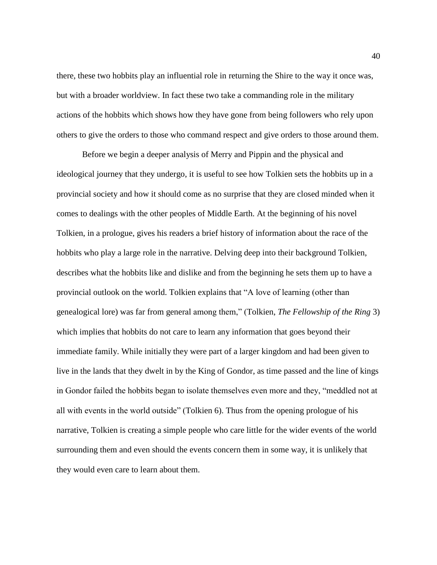there, these two hobbits play an influential role in returning the Shire to the way it once was, but with a broader worldview. In fact these two take a commanding role in the military actions of the hobbits which shows how they have gone from being followers who rely upon others to give the orders to those who command respect and give orders to those around them.

Before we begin a deeper analysis of Merry and Pippin and the physical and ideological journey that they undergo, it is useful to see how Tolkien sets the hobbits up in a provincial society and how it should come as no surprise that they are closed minded when it comes to dealings with the other peoples of Middle Earth. At the beginning of his novel Tolkien, in a prologue, gives his readers a brief history of information about the race of the hobbits who play a large role in the narrative. Delving deep into their background Tolkien, describes what the hobbits like and dislike and from the beginning he sets them up to have a provincial outlook on the world. Tolkien explains that "A love of learning (other than genealogical lore) was far from general among them," (Tolkien, *The Fellowship of the Ring* 3) which implies that hobbits do not care to learn any information that goes beyond their immediate family. While initially they were part of a larger kingdom and had been given to live in the lands that they dwelt in by the King of Gondor, as time passed and the line of kings in Gondor failed the hobbits began to isolate themselves even more and they, "meddled not at all with events in the world outside" (Tolkien 6). Thus from the opening prologue of his narrative, Tolkien is creating a simple people who care little for the wider events of the world surrounding them and even should the events concern them in some way, it is unlikely that they would even care to learn about them.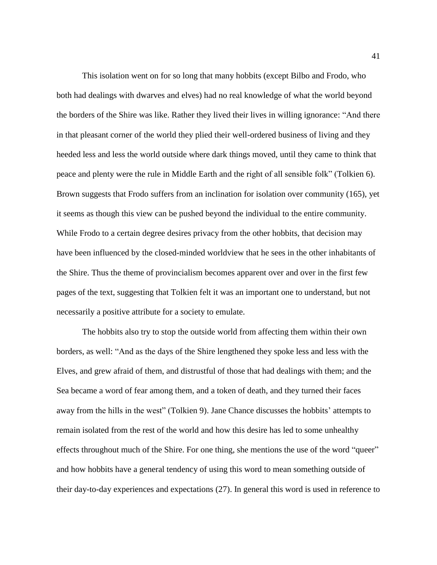This isolation went on for so long that many hobbits (except Bilbo and Frodo, who both had dealings with dwarves and elves) had no real knowledge of what the world beyond the borders of the Shire was like. Rather they lived their lives in willing ignorance: "And there in that pleasant corner of the world they plied their well-ordered business of living and they heeded less and less the world outside where dark things moved, until they came to think that peace and plenty were the rule in Middle Earth and the right of all sensible folk" (Tolkien 6). Brown suggests that Frodo suffers from an inclination for isolation over community (165), yet it seems as though this view can be pushed beyond the individual to the entire community. While Frodo to a certain degree desires privacy from the other hobbits, that decision may have been influenced by the closed-minded worldview that he sees in the other inhabitants of the Shire. Thus the theme of provincialism becomes apparent over and over in the first few pages of the text, suggesting that Tolkien felt it was an important one to understand, but not necessarily a positive attribute for a society to emulate.

The hobbits also try to stop the outside world from affecting them within their own borders, as well: "And as the days of the Shire lengthened they spoke less and less with the Elves, and grew afraid of them, and distrustful of those that had dealings with them; and the Sea became a word of fear among them, and a token of death, and they turned their faces away from the hills in the west" (Tolkien 9). Jane Chance discusses the hobbits' attempts to remain isolated from the rest of the world and how this desire has led to some unhealthy effects throughout much of the Shire. For one thing, she mentions the use of the word "queer" and how hobbits have a general tendency of using this word to mean something outside of their day-to-day experiences and expectations (27). In general this word is used in reference to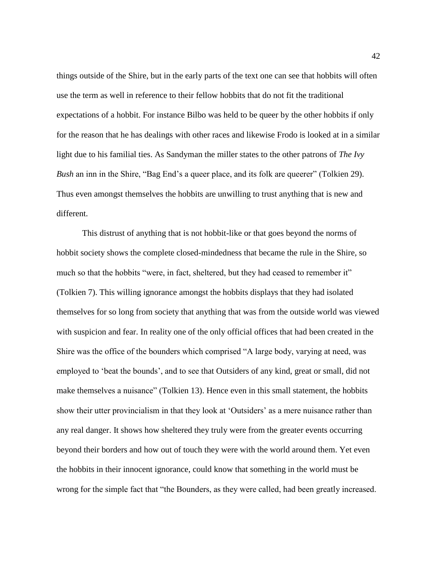things outside of the Shire, but in the early parts of the text one can see that hobbits will often use the term as well in reference to their fellow hobbits that do not fit the traditional expectations of a hobbit. For instance Bilbo was held to be queer by the other hobbits if only for the reason that he has dealings with other races and likewise Frodo is looked at in a similar light due to his familial ties. As Sandyman the miller states to the other patrons of *The Ivy Bush* an inn in the Shire, "Bag End's a queer place, and its folk are queerer" (Tolkien 29). Thus even amongst themselves the hobbits are unwilling to trust anything that is new and different.

This distrust of anything that is not hobbit-like or that goes beyond the norms of hobbit society shows the complete closed-mindedness that became the rule in the Shire, so much so that the hobbits "were, in fact, sheltered, but they had ceased to remember it" (Tolkien 7). This willing ignorance amongst the hobbits displays that they had isolated themselves for so long from society that anything that was from the outside world was viewed with suspicion and fear. In reality one of the only official offices that had been created in the Shire was the office of the bounders which comprised "A large body, varying at need, was employed to 'beat the bounds', and to see that Outsiders of any kind, great or small, did not make themselves a nuisance" (Tolkien 13). Hence even in this small statement, the hobbits show their utter provincialism in that they look at 'Outsiders' as a mere nuisance rather than any real danger. It shows how sheltered they truly were from the greater events occurring beyond their borders and how out of touch they were with the world around them. Yet even the hobbits in their innocent ignorance, could know that something in the world must be wrong for the simple fact that "the Bounders, as they were called, had been greatly increased.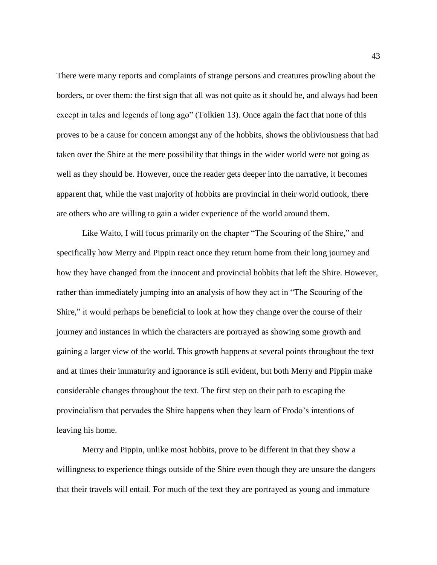There were many reports and complaints of strange persons and creatures prowling about the borders, or over them: the first sign that all was not quite as it should be, and always had been except in tales and legends of long ago" (Tolkien 13). Once again the fact that none of this proves to be a cause for concern amongst any of the hobbits, shows the obliviousness that had taken over the Shire at the mere possibility that things in the wider world were not going as well as they should be. However, once the reader gets deeper into the narrative, it becomes apparent that, while the vast majority of hobbits are provincial in their world outlook, there are others who are willing to gain a wider experience of the world around them.

Like Waito, I will focus primarily on the chapter "The Scouring of the Shire," and specifically how Merry and Pippin react once they return home from their long journey and how they have changed from the innocent and provincial hobbits that left the Shire. However, rather than immediately jumping into an analysis of how they act in "The Scouring of the Shire," it would perhaps be beneficial to look at how they change over the course of their journey and instances in which the characters are portrayed as showing some growth and gaining a larger view of the world. This growth happens at several points throughout the text and at times their immaturity and ignorance is still evident, but both Merry and Pippin make considerable changes throughout the text. The first step on their path to escaping the provincialism that pervades the Shire happens when they learn of Frodo's intentions of leaving his home.

Merry and Pippin, unlike most hobbits, prove to be different in that they show a willingness to experience things outside of the Shire even though they are unsure the dangers that their travels will entail. For much of the text they are portrayed as young and immature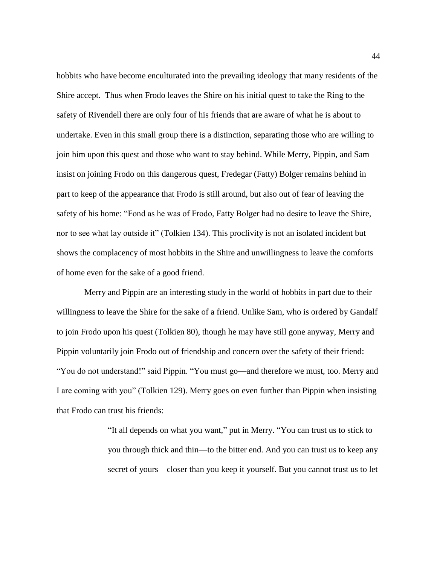hobbits who have become enculturated into the prevailing ideology that many residents of the Shire accept. Thus when Frodo leaves the Shire on his initial quest to take the Ring to the safety of Rivendell there are only four of his friends that are aware of what he is about to undertake. Even in this small group there is a distinction, separating those who are willing to join him upon this quest and those who want to stay behind. While Merry, Pippin, and Sam insist on joining Frodo on this dangerous quest, Fredegar (Fatty) Bolger remains behind in part to keep of the appearance that Frodo is still around, but also out of fear of leaving the safety of his home: "Fond as he was of Frodo, Fatty Bolger had no desire to leave the Shire, nor to see what lay outside it" (Tolkien 134). This proclivity is not an isolated incident but shows the complacency of most hobbits in the Shire and unwillingness to leave the comforts of home even for the sake of a good friend.

Merry and Pippin are an interesting study in the world of hobbits in part due to their willingness to leave the Shire for the sake of a friend. Unlike Sam, who is ordered by Gandalf to join Frodo upon his quest (Tolkien 80), though he may have still gone anyway, Merry and Pippin voluntarily join Frodo out of friendship and concern over the safety of their friend: "You do not understand!" said Pippin. "You must go—and therefore we must, too. Merry and I are coming with you" (Tolkien 129). Merry goes on even further than Pippin when insisting that Frodo can trust his friends:

> "It all depends on what you want," put in Merry. "You can trust us to stick to you through thick and thin—to the bitter end. And you can trust us to keep any secret of yours—closer than you keep it yourself. But you cannot trust us to let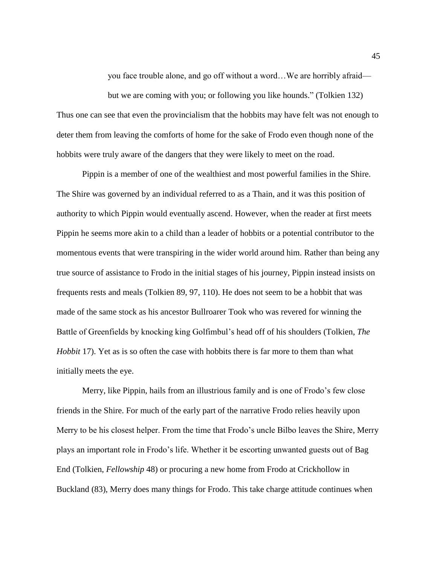you face trouble alone, and go off without a word…We are horribly afraid—

but we are coming with you; or following you like hounds." (Tolkien 132) Thus one can see that even the provincialism that the hobbits may have felt was not enough to deter them from leaving the comforts of home for the sake of Frodo even though none of the hobbits were truly aware of the dangers that they were likely to meet on the road.

Pippin is a member of one of the wealthiest and most powerful families in the Shire. The Shire was governed by an individual referred to as a Thain, and it was this position of authority to which Pippin would eventually ascend. However, when the reader at first meets Pippin he seems more akin to a child than a leader of hobbits or a potential contributor to the momentous events that were transpiring in the wider world around him. Rather than being any true source of assistance to Frodo in the initial stages of his journey, Pippin instead insists on frequents rests and meals (Tolkien 89, 97, 110). He does not seem to be a hobbit that was made of the same stock as his ancestor Bullroarer Took who was revered for winning the Battle of Greenfields by knocking king Golfimbul's head off of his shoulders (Tolkien, *The Hobbit* 17). Yet as is so often the case with hobbits there is far more to them than what initially meets the eye.

Merry, like Pippin, hails from an illustrious family and is one of Frodo's few close friends in the Shire. For much of the early part of the narrative Frodo relies heavily upon Merry to be his closest helper. From the time that Frodo's uncle Bilbo leaves the Shire, Merry plays an important role in Frodo's life. Whether it be escorting unwanted guests out of Bag End (Tolkien, *Fellowship* 48) or procuring a new home from Frodo at Crickhollow in Buckland (83), Merry does many things for Frodo. This take charge attitude continues when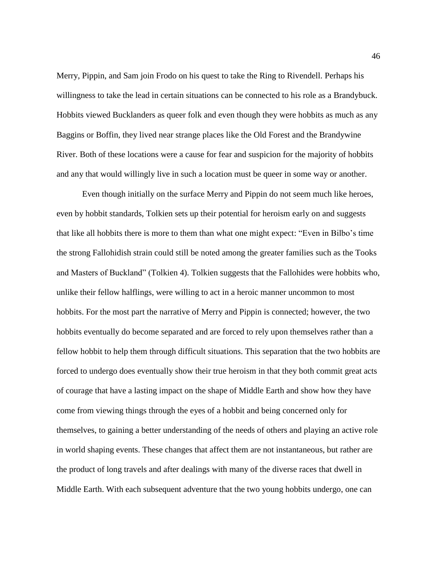Merry, Pippin, and Sam join Frodo on his quest to take the Ring to Rivendell. Perhaps his willingness to take the lead in certain situations can be connected to his role as a Brandybuck. Hobbits viewed Bucklanders as queer folk and even though they were hobbits as much as any Baggins or Boffin, they lived near strange places like the Old Forest and the Brandywine River. Both of these locations were a cause for fear and suspicion for the majority of hobbits and any that would willingly live in such a location must be queer in some way or another.

Even though initially on the surface Merry and Pippin do not seem much like heroes, even by hobbit standards, Tolkien sets up their potential for heroism early on and suggests that like all hobbits there is more to them than what one might expect: "Even in Bilbo's time the strong Fallohidish strain could still be noted among the greater families such as the Tooks and Masters of Buckland" (Tolkien 4). Tolkien suggests that the Fallohides were hobbits who, unlike their fellow halflings, were willing to act in a heroic manner uncommon to most hobbits. For the most part the narrative of Merry and Pippin is connected; however, the two hobbits eventually do become separated and are forced to rely upon themselves rather than a fellow hobbit to help them through difficult situations. This separation that the two hobbits are forced to undergo does eventually show their true heroism in that they both commit great acts of courage that have a lasting impact on the shape of Middle Earth and show how they have come from viewing things through the eyes of a hobbit and being concerned only for themselves, to gaining a better understanding of the needs of others and playing an active role in world shaping events. These changes that affect them are not instantaneous, but rather are the product of long travels and after dealings with many of the diverse races that dwell in Middle Earth. With each subsequent adventure that the two young hobbits undergo, one can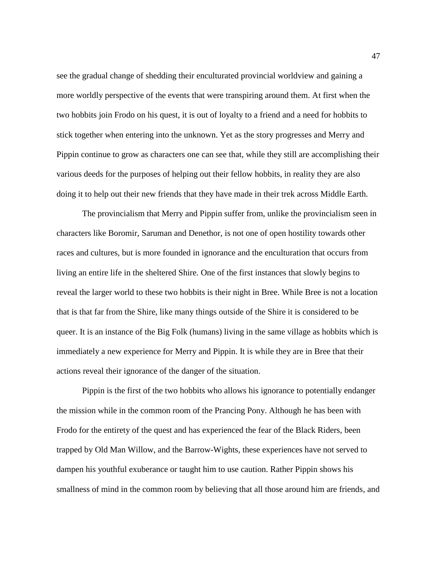see the gradual change of shedding their enculturated provincial worldview and gaining a more worldly perspective of the events that were transpiring around them. At first when the two hobbits join Frodo on his quest, it is out of loyalty to a friend and a need for hobbits to stick together when entering into the unknown. Yet as the story progresses and Merry and Pippin continue to grow as characters one can see that, while they still are accomplishing their various deeds for the purposes of helping out their fellow hobbits, in reality they are also doing it to help out their new friends that they have made in their trek across Middle Earth.

The provincialism that Merry and Pippin suffer from, unlike the provincialism seen in characters like Boromir, Saruman and Denethor, is not one of open hostility towards other races and cultures, but is more founded in ignorance and the enculturation that occurs from living an entire life in the sheltered Shire. One of the first instances that slowly begins to reveal the larger world to these two hobbits is their night in Bree. While Bree is not a location that is that far from the Shire, like many things outside of the Shire it is considered to be queer. It is an instance of the Big Folk (humans) living in the same village as hobbits which is immediately a new experience for Merry and Pippin. It is while they are in Bree that their actions reveal their ignorance of the danger of the situation.

Pippin is the first of the two hobbits who allows his ignorance to potentially endanger the mission while in the common room of the Prancing Pony. Although he has been with Frodo for the entirety of the quest and has experienced the fear of the Black Riders, been trapped by Old Man Willow, and the Barrow-Wights, these experiences have not served to dampen his youthful exuberance or taught him to use caution. Rather Pippin shows his smallness of mind in the common room by believing that all those around him are friends, and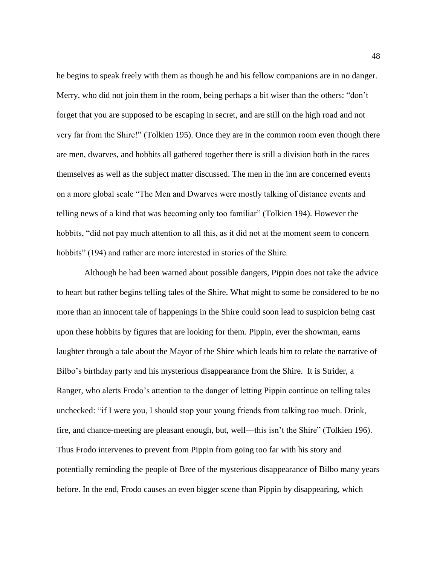he begins to speak freely with them as though he and his fellow companions are in no danger. Merry, who did not join them in the room, being perhaps a bit wiser than the others: "don't forget that you are supposed to be escaping in secret, and are still on the high road and not very far from the Shire!" (Tolkien 195). Once they are in the common room even though there are men, dwarves, and hobbits all gathered together there is still a division both in the races themselves as well as the subject matter discussed. The men in the inn are concerned events on a more global scale "The Men and Dwarves were mostly talking of distance events and telling news of a kind that was becoming only too familiar" (Tolkien 194). However the hobbits, "did not pay much attention to all this, as it did not at the moment seem to concern hobbits" (194) and rather are more interested in stories of the Shire.

Although he had been warned about possible dangers, Pippin does not take the advice to heart but rather begins telling tales of the Shire. What might to some be considered to be no more than an innocent tale of happenings in the Shire could soon lead to suspicion being cast upon these hobbits by figures that are looking for them. Pippin, ever the showman, earns laughter through a tale about the Mayor of the Shire which leads him to relate the narrative of Bilbo's birthday party and his mysterious disappearance from the Shire. It is Strider, a Ranger, who alerts Frodo's attention to the danger of letting Pippin continue on telling tales unchecked: "if I were you, I should stop your young friends from talking too much. Drink, fire, and chance-meeting are pleasant enough, but, well—this isn't the Shire" (Tolkien 196). Thus Frodo intervenes to prevent from Pippin from going too far with his story and potentially reminding the people of Bree of the mysterious disappearance of Bilbo many years before. In the end, Frodo causes an even bigger scene than Pippin by disappearing, which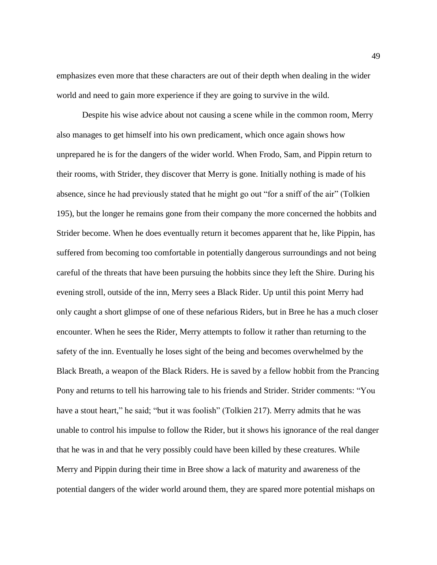emphasizes even more that these characters are out of their depth when dealing in the wider world and need to gain more experience if they are going to survive in the wild.

Despite his wise advice about not causing a scene while in the common room, Merry also manages to get himself into his own predicament, which once again shows how unprepared he is for the dangers of the wider world. When Frodo, Sam, and Pippin return to their rooms, with Strider, they discover that Merry is gone. Initially nothing is made of his absence, since he had previously stated that he might go out "for a sniff of the air" (Tolkien 195), but the longer he remains gone from their company the more concerned the hobbits and Strider become. When he does eventually return it becomes apparent that he, like Pippin, has suffered from becoming too comfortable in potentially dangerous surroundings and not being careful of the threats that have been pursuing the hobbits since they left the Shire. During his evening stroll, outside of the inn, Merry sees a Black Rider. Up until this point Merry had only caught a short glimpse of one of these nefarious Riders, but in Bree he has a much closer encounter. When he sees the Rider, Merry attempts to follow it rather than returning to the safety of the inn. Eventually he loses sight of the being and becomes overwhelmed by the Black Breath, a weapon of the Black Riders. He is saved by a fellow hobbit from the Prancing Pony and returns to tell his harrowing tale to his friends and Strider. Strider comments: "You have a stout heart," he said; "but it was foolish" (Tolkien 217). Merry admits that he was unable to control his impulse to follow the Rider, but it shows his ignorance of the real danger that he was in and that he very possibly could have been killed by these creatures. While Merry and Pippin during their time in Bree show a lack of maturity and awareness of the potential dangers of the wider world around them, they are spared more potential mishaps on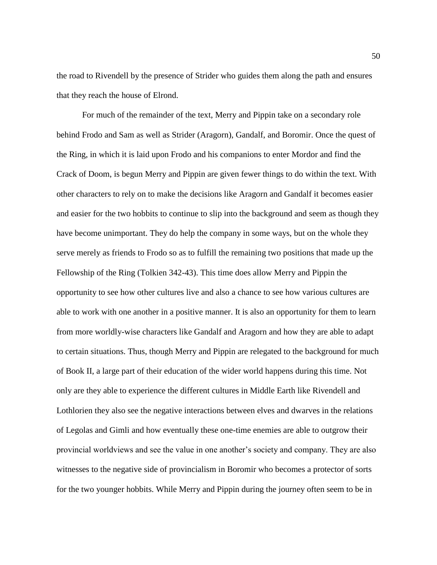the road to Rivendell by the presence of Strider who guides them along the path and ensures that they reach the house of Elrond.

For much of the remainder of the text, Merry and Pippin take on a secondary role behind Frodo and Sam as well as Strider (Aragorn), Gandalf, and Boromir. Once the quest of the Ring, in which it is laid upon Frodo and his companions to enter Mordor and find the Crack of Doom, is begun Merry and Pippin are given fewer things to do within the text. With other characters to rely on to make the decisions like Aragorn and Gandalf it becomes easier and easier for the two hobbits to continue to slip into the background and seem as though they have become unimportant. They do help the company in some ways, but on the whole they serve merely as friends to Frodo so as to fulfill the remaining two positions that made up the Fellowship of the Ring (Tolkien 342-43). This time does allow Merry and Pippin the opportunity to see how other cultures live and also a chance to see how various cultures are able to work with one another in a positive manner. It is also an opportunity for them to learn from more worldly-wise characters like Gandalf and Aragorn and how they are able to adapt to certain situations. Thus, though Merry and Pippin are relegated to the background for much of Book II, a large part of their education of the wider world happens during this time. Not only are they able to experience the different cultures in Middle Earth like Rivendell and Lothlorien they also see the negative interactions between elves and dwarves in the relations of Legolas and Gimli and how eventually these one-time enemies are able to outgrow their provincial worldviews and see the value in one another's society and company. They are also witnesses to the negative side of provincialism in Boromir who becomes a protector of sorts for the two younger hobbits. While Merry and Pippin during the journey often seem to be in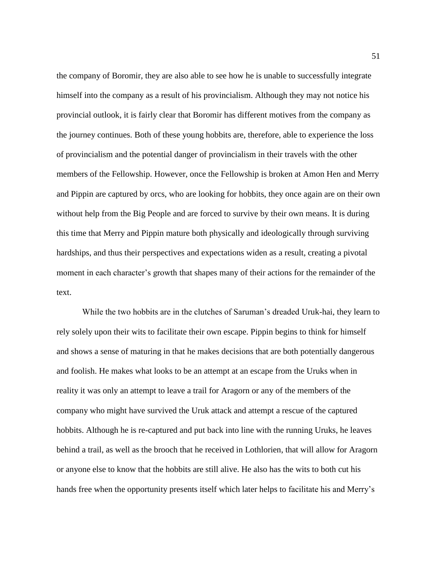the company of Boromir, they are also able to see how he is unable to successfully integrate himself into the company as a result of his provincialism. Although they may not notice his provincial outlook, it is fairly clear that Boromir has different motives from the company as the journey continues. Both of these young hobbits are, therefore, able to experience the loss of provincialism and the potential danger of provincialism in their travels with the other members of the Fellowship. However, once the Fellowship is broken at Amon Hen and Merry and Pippin are captured by orcs, who are looking for hobbits, they once again are on their own without help from the Big People and are forced to survive by their own means. It is during this time that Merry and Pippin mature both physically and ideologically through surviving hardships, and thus their perspectives and expectations widen as a result, creating a pivotal moment in each character's growth that shapes many of their actions for the remainder of the text.

While the two hobbits are in the clutches of Saruman's dreaded Uruk-hai, they learn to rely solely upon their wits to facilitate their own escape. Pippin begins to think for himself and shows a sense of maturing in that he makes decisions that are both potentially dangerous and foolish. He makes what looks to be an attempt at an escape from the Uruks when in reality it was only an attempt to leave a trail for Aragorn or any of the members of the company who might have survived the Uruk attack and attempt a rescue of the captured hobbits. Although he is re-captured and put back into line with the running Uruks, he leaves behind a trail, as well as the brooch that he received in Lothlorien, that will allow for Aragorn or anyone else to know that the hobbits are still alive. He also has the wits to both cut his hands free when the opportunity presents itself which later helps to facilitate his and Merry's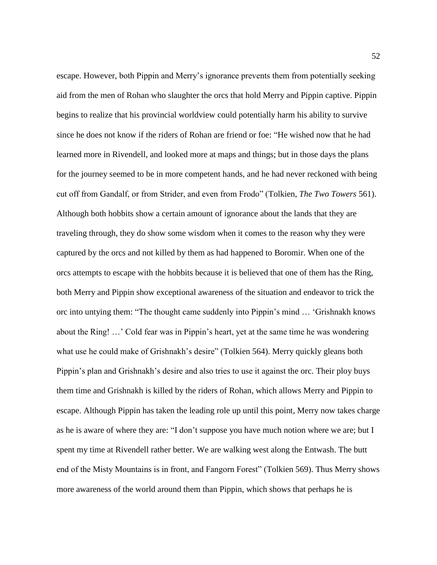escape. However, both Pippin and Merry's ignorance prevents them from potentially seeking aid from the men of Rohan who slaughter the orcs that hold Merry and Pippin captive. Pippin begins to realize that his provincial worldview could potentially harm his ability to survive since he does not know if the riders of Rohan are friend or foe: "He wished now that he had learned more in Rivendell, and looked more at maps and things; but in those days the plans for the journey seemed to be in more competent hands, and he had never reckoned with being cut off from Gandalf, or from Strider, and even from Frodo" (Tolkien, *The Two Towers* 561). Although both hobbits show a certain amount of ignorance about the lands that they are traveling through, they do show some wisdom when it comes to the reason why they were captured by the orcs and not killed by them as had happened to Boromir. When one of the orcs attempts to escape with the hobbits because it is believed that one of them has the Ring, both Merry and Pippin show exceptional awareness of the situation and endeavor to trick the orc into untying them: "The thought came suddenly into Pippin's mind … 'Grishnakh knows about the Ring! …' Cold fear was in Pippin's heart, yet at the same time he was wondering what use he could make of Grishnakh's desire" (Tolkien 564). Merry quickly gleans both Pippin's plan and Grishnakh's desire and also tries to use it against the orc. Their ploy buys them time and Grishnakh is killed by the riders of Rohan, which allows Merry and Pippin to escape. Although Pippin has taken the leading role up until this point, Merry now takes charge as he is aware of where they are: "I don't suppose you have much notion where we are; but I spent my time at Rivendell rather better. We are walking west along the Entwash. The butt end of the Misty Mountains is in front, and Fangorn Forest" (Tolkien 569). Thus Merry shows more awareness of the world around them than Pippin, which shows that perhaps he is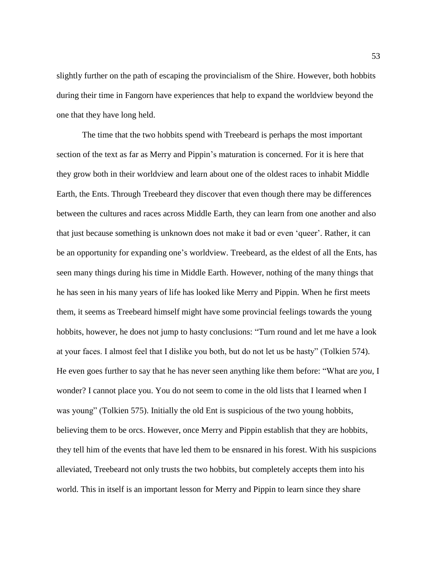slightly further on the path of escaping the provincialism of the Shire. However, both hobbits during their time in Fangorn have experiences that help to expand the worldview beyond the one that they have long held.

The time that the two hobbits spend with Treebeard is perhaps the most important section of the text as far as Merry and Pippin's maturation is concerned. For it is here that they grow both in their worldview and learn about one of the oldest races to inhabit Middle Earth, the Ents. Through Treebeard they discover that even though there may be differences between the cultures and races across Middle Earth, they can learn from one another and also that just because something is unknown does not make it bad or even 'queer'. Rather, it can be an opportunity for expanding one's worldview. Treebeard, as the eldest of all the Ents, has seen many things during his time in Middle Earth. However, nothing of the many things that he has seen in his many years of life has looked like Merry and Pippin. When he first meets them, it seems as Treebeard himself might have some provincial feelings towards the young hobbits, however, he does not jump to hasty conclusions: "Turn round and let me have a look at your faces. I almost feel that I dislike you both, but do not let us be hasty" (Tolkien 574). He even goes further to say that he has never seen anything like them before: "What are *you*, I wonder? I cannot place you. You do not seem to come in the old lists that I learned when I was young" (Tolkien 575). Initially the old Ent is suspicious of the two young hobbits, believing them to be orcs. However, once Merry and Pippin establish that they are hobbits, they tell him of the events that have led them to be ensnared in his forest. With his suspicions alleviated, Treebeard not only trusts the two hobbits, but completely accepts them into his world. This in itself is an important lesson for Merry and Pippin to learn since they share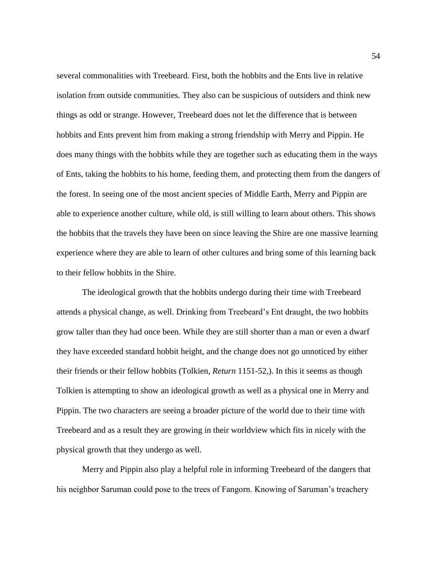several commonalities with Treebeard. First, both the hobbits and the Ents live in relative isolation from outside communities. They also can be suspicious of outsiders and think new things as odd or strange. However, Treebeard does not let the difference that is between hobbits and Ents prevent him from making a strong friendship with Merry and Pippin. He does many things with the hobbits while they are together such as educating them in the ways of Ents, taking the hobbits to his home, feeding them, and protecting them from the dangers of the forest. In seeing one of the most ancient species of Middle Earth, Merry and Pippin are able to experience another culture, while old, is still willing to learn about others. This shows the hobbits that the travels they have been on since leaving the Shire are one massive learning experience where they are able to learn of other cultures and bring some of this learning back to their fellow hobbits in the Shire.

The ideological growth that the hobbits undergo during their time with Treebeard attends a physical change, as well. Drinking from Treebeard's Ent draught, the two hobbits grow taller than they had once been. While they are still shorter than a man or even a dwarf they have exceeded standard hobbit height, and the change does not go unnoticed by either their friends or their fellow hobbits (Tolkien, *Return* 1151-52,). In this it seems as though Tolkien is attempting to show an ideological growth as well as a physical one in Merry and Pippin. The two characters are seeing a broader picture of the world due to their time with Treebeard and as a result they are growing in their worldview which fits in nicely with the physical growth that they undergo as well.

Merry and Pippin also play a helpful role in informing Treebeard of the dangers that his neighbor Saruman could pose to the trees of Fangorn. Knowing of Saruman's treachery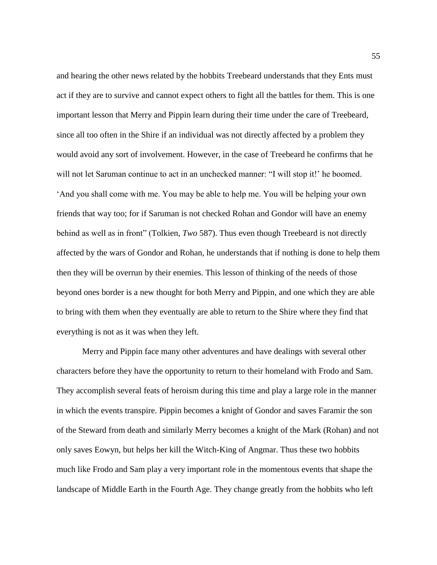and hearing the other news related by the hobbits Treebeard understands that they Ents must act if they are to survive and cannot expect others to fight all the battles for them. This is one important lesson that Merry and Pippin learn during their time under the care of Treebeard, since all too often in the Shire if an individual was not directly affected by a problem they would avoid any sort of involvement. However, in the case of Treebeard he confirms that he will not let Saruman continue to act in an unchecked manner: "I will stop it!" he boomed. 'And you shall come with me. You may be able to help me. You will be helping your own friends that way too; for if Saruman is not checked Rohan and Gondor will have an enemy behind as well as in front" (Tolkien, *Two* 587). Thus even though Treebeard is not directly affected by the wars of Gondor and Rohan, he understands that if nothing is done to help them then they will be overrun by their enemies. This lesson of thinking of the needs of those beyond ones border is a new thought for both Merry and Pippin, and one which they are able to bring with them when they eventually are able to return to the Shire where they find that everything is not as it was when they left.

Merry and Pippin face many other adventures and have dealings with several other characters before they have the opportunity to return to their homeland with Frodo and Sam. They accomplish several feats of heroism during this time and play a large role in the manner in which the events transpire. Pippin becomes a knight of Gondor and saves Faramir the son of the Steward from death and similarly Merry becomes a knight of the Mark (Rohan) and not only saves Eowyn, but helps her kill the Witch-King of Angmar. Thus these two hobbits much like Frodo and Sam play a very important role in the momentous events that shape the landscape of Middle Earth in the Fourth Age. They change greatly from the hobbits who left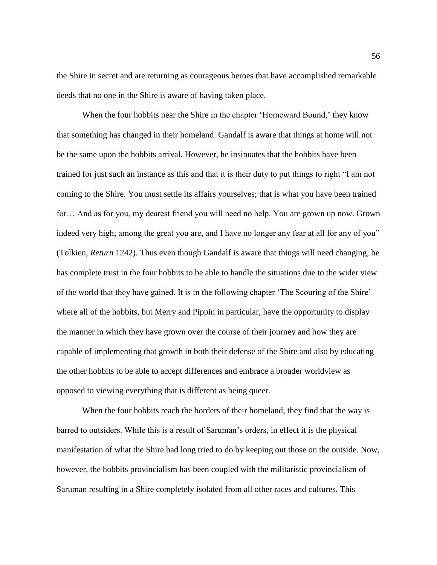the Shire in secret and are returning as courageous heroes that have accomplished remarkable deeds that no one in the Shire is aware of having taken place.

When the four hobbits near the Shire in the chapter 'Homeward Bound,' they know that something has changed in their homeland. Gandalf is aware that things at home will not be the same upon the hobbits arrival. However, he insinuates that the hobbits have been trained for just such an instance as this and that it is their duty to put things to right "I am not coming to the Shire. You must settle its affairs yourselves; that is what you have been trained for… And as for you, my dearest friend you will need no help. You are grown up now. Grown indeed very high; among the great you are, and I have no longer any fear at all for any of you" (Tolkien, *Return* 1242). Thus even though Gandalf is aware that things will need changing, he has complete trust in the four hobbits to be able to handle the situations due to the wider view of the world that they have gained. It is in the following chapter 'The Scouring of the Shire' where all of the hobbits, but Merry and Pippin in particular, have the opportunity to display the manner in which they have grown over the course of their journey and how they are capable of implementing that growth in both their defense of the Shire and also by educating the other hobbits to be able to accept differences and embrace a broader worldview as opposed to viewing everything that is different as being queer.

When the four hobbits reach the borders of their homeland, they find that the way is barred to outsiders. While this is a result of Saruman's orders, in effect it is the physical manifestation of what the Shire had long tried to do by keeping out those on the outside. Now, however, the hobbits provincialism has been coupled with the militaristic provincialism of Saruman resulting in a Shire completely isolated from all other races and cultures. This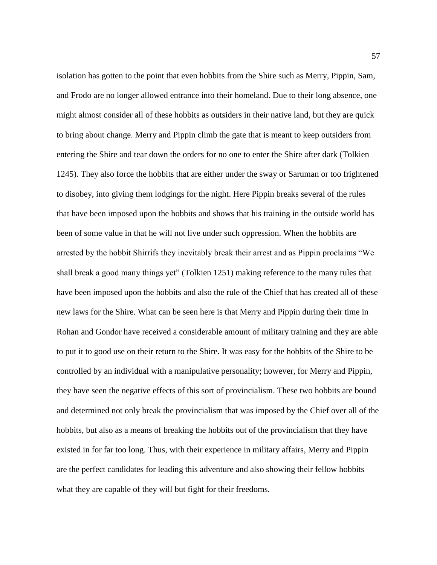isolation has gotten to the point that even hobbits from the Shire such as Merry, Pippin, Sam, and Frodo are no longer allowed entrance into their homeland. Due to their long absence, one might almost consider all of these hobbits as outsiders in their native land, but they are quick to bring about change. Merry and Pippin climb the gate that is meant to keep outsiders from entering the Shire and tear down the orders for no one to enter the Shire after dark (Tolkien 1245). They also force the hobbits that are either under the sway or Saruman or too frightened to disobey, into giving them lodgings for the night. Here Pippin breaks several of the rules that have been imposed upon the hobbits and shows that his training in the outside world has been of some value in that he will not live under such oppression. When the hobbits are arrested by the hobbit Shirrifs they inevitably break their arrest and as Pippin proclaims "We shall break a good many things yet" (Tolkien 1251) making reference to the many rules that have been imposed upon the hobbits and also the rule of the Chief that has created all of these new laws for the Shire. What can be seen here is that Merry and Pippin during their time in Rohan and Gondor have received a considerable amount of military training and they are able to put it to good use on their return to the Shire. It was easy for the hobbits of the Shire to be controlled by an individual with a manipulative personality; however, for Merry and Pippin, they have seen the negative effects of this sort of provincialism. These two hobbits are bound and determined not only break the provincialism that was imposed by the Chief over all of the hobbits, but also as a means of breaking the hobbits out of the provincialism that they have existed in for far too long. Thus, with their experience in military affairs, Merry and Pippin are the perfect candidates for leading this adventure and also showing their fellow hobbits what they are capable of they will but fight for their freedoms.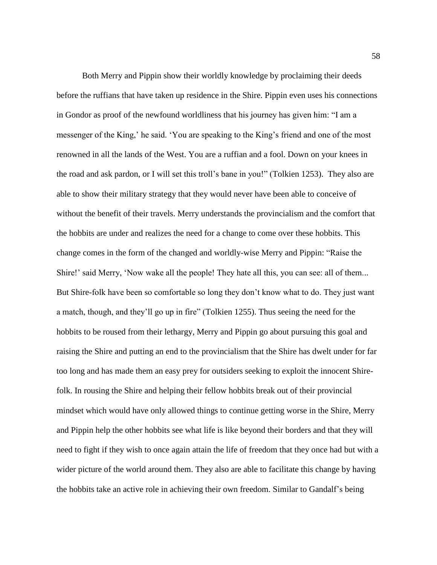Both Merry and Pippin show their worldly knowledge by proclaiming their deeds before the ruffians that have taken up residence in the Shire. Pippin even uses his connections in Gondor as proof of the newfound worldliness that his journey has given him: "I am a messenger of the King,' he said. 'You are speaking to the King's friend and one of the most renowned in all the lands of the West. You are a ruffian and a fool. Down on your knees in the road and ask pardon, or I will set this troll's bane in you!" (Tolkien 1253). They also are able to show their military strategy that they would never have been able to conceive of without the benefit of their travels. Merry understands the provincialism and the comfort that the hobbits are under and realizes the need for a change to come over these hobbits. This change comes in the form of the changed and worldly-wise Merry and Pippin: "Raise the Shire!' said Merry, 'Now wake all the people! They hate all this, you can see: all of them... But Shire-folk have been so comfortable so long they don't know what to do. They just want a match, though, and they'll go up in fire" (Tolkien 1255). Thus seeing the need for the hobbits to be roused from their lethargy, Merry and Pippin go about pursuing this goal and raising the Shire and putting an end to the provincialism that the Shire has dwelt under for far too long and has made them an easy prey for outsiders seeking to exploit the innocent Shirefolk. In rousing the Shire and helping their fellow hobbits break out of their provincial mindset which would have only allowed things to continue getting worse in the Shire, Merry and Pippin help the other hobbits see what life is like beyond their borders and that they will need to fight if they wish to once again attain the life of freedom that they once had but with a wider picture of the world around them. They also are able to facilitate this change by having the hobbits take an active role in achieving their own freedom. Similar to Gandalf's being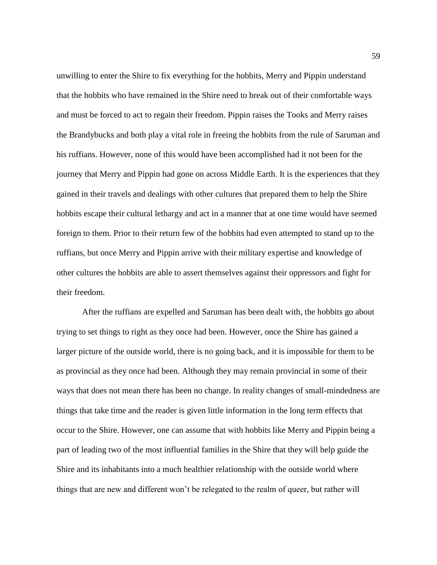unwilling to enter the Shire to fix everything for the hobbits, Merry and Pippin understand that the hobbits who have remained in the Shire need to break out of their comfortable ways and must be forced to act to regain their freedom. Pippin raises the Tooks and Merry raises the Brandybucks and both play a vital role in freeing the hobbits from the rule of Saruman and his ruffians. However, none of this would have been accomplished had it not been for the journey that Merry and Pippin had gone on across Middle Earth. It is the experiences that they gained in their travels and dealings with other cultures that prepared them to help the Shire hobbits escape their cultural lethargy and act in a manner that at one time would have seemed foreign to them. Prior to their return few of the hobbits had even attempted to stand up to the ruffians, but once Merry and Pippin arrive with their military expertise and knowledge of other cultures the hobbits are able to assert themselves against their oppressors and fight for their freedom.

After the ruffians are expelled and Saruman has been dealt with, the hobbits go about trying to set things to right as they once had been. However, once the Shire has gained a larger picture of the outside world, there is no going back, and it is impossible for them to be as provincial as they once had been. Although they may remain provincial in some of their ways that does not mean there has been no change. In reality changes of small-mindedness are things that take time and the reader is given little information in the long term effects that occur to the Shire. However, one can assume that with hobbits like Merry and Pippin being a part of leading two of the most influential families in the Shire that they will help guide the Shire and its inhabitants into a much healthier relationship with the outside world where things that are new and different won't be relegated to the realm of queer, but rather will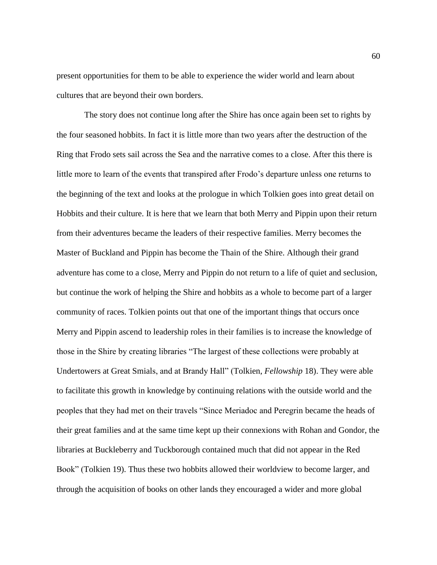present opportunities for them to be able to experience the wider world and learn about cultures that are beyond their own borders.

The story does not continue long after the Shire has once again been set to rights by the four seasoned hobbits. In fact it is little more than two years after the destruction of the Ring that Frodo sets sail across the Sea and the narrative comes to a close. After this there is little more to learn of the events that transpired after Frodo's departure unless one returns to the beginning of the text and looks at the prologue in which Tolkien goes into great detail on Hobbits and their culture. It is here that we learn that both Merry and Pippin upon their return from their adventures became the leaders of their respective families. Merry becomes the Master of Buckland and Pippin has become the Thain of the Shire. Although their grand adventure has come to a close, Merry and Pippin do not return to a life of quiet and seclusion, but continue the work of helping the Shire and hobbits as a whole to become part of a larger community of races. Tolkien points out that one of the important things that occurs once Merry and Pippin ascend to leadership roles in their families is to increase the knowledge of those in the Shire by creating libraries "The largest of these collections were probably at Undertowers at Great Smials, and at Brandy Hall" (Tolkien, *Fellowship* 18). They were able to facilitate this growth in knowledge by continuing relations with the outside world and the peoples that they had met on their travels "Since Meriadoc and Peregrin became the heads of their great families and at the same time kept up their connexions with Rohan and Gondor, the libraries at Buckleberry and Tuckborough contained much that did not appear in the Red Book" (Tolkien 19). Thus these two hobbits allowed their worldview to become larger, and through the acquisition of books on other lands they encouraged a wider and more global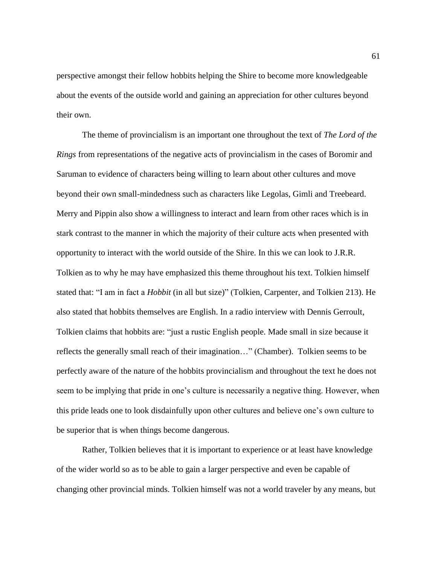perspective amongst their fellow hobbits helping the Shire to become more knowledgeable about the events of the outside world and gaining an appreciation for other cultures beyond their own.

The theme of provincialism is an important one throughout the text of *The Lord of the Rings* from representations of the negative acts of provincialism in the cases of Boromir and Saruman to evidence of characters being willing to learn about other cultures and move beyond their own small-mindedness such as characters like Legolas, Gimli and Treebeard. Merry and Pippin also show a willingness to interact and learn from other races which is in stark contrast to the manner in which the majority of their culture acts when presented with opportunity to interact with the world outside of the Shire. In this we can look to J.R.R. Tolkien as to why he may have emphasized this theme throughout his text. Tolkien himself stated that: "I am in fact a *Hobbit* (in all but size)" (Tolkien, Carpenter, and Tolkien 213). He also stated that hobbits themselves are English. In a radio interview with Dennis Gerroult, Tolkien claims that hobbits are: "just a rustic English people. Made small in size because it reflects the generally small reach of their imagination…" (Chamber). Tolkien seems to be perfectly aware of the nature of the hobbits provincialism and throughout the text he does not seem to be implying that pride in one's culture is necessarily a negative thing. However, when this pride leads one to look disdainfully upon other cultures and believe one's own culture to be superior that is when things become dangerous.

Rather, Tolkien believes that it is important to experience or at least have knowledge of the wider world so as to be able to gain a larger perspective and even be capable of changing other provincial minds. Tolkien himself was not a world traveler by any means, but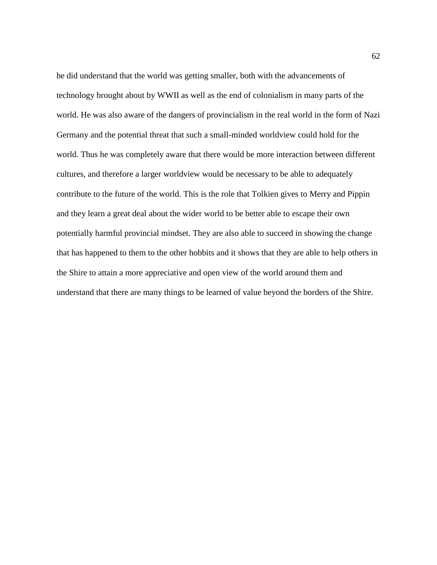he did understand that the world was getting smaller, both with the advancements of technology brought about by WWII as well as the end of colonialism in many parts of the world. He was also aware of the dangers of provincialism in the real world in the form of Nazi Germany and the potential threat that such a small-minded worldview could hold for the world. Thus he was completely aware that there would be more interaction between different cultures, and therefore a larger worldview would be necessary to be able to adequately contribute to the future of the world. This is the role that Tolkien gives to Merry and Pippin and they learn a great deal about the wider world to be better able to escape their own potentially harmful provincial mindset. They are also able to succeed in showing the change that has happened to them to the other hobbits and it shows that they are able to help others in the Shire to attain a more appreciative and open view of the world around them and understand that there are many things to be learned of value beyond the borders of the Shire.